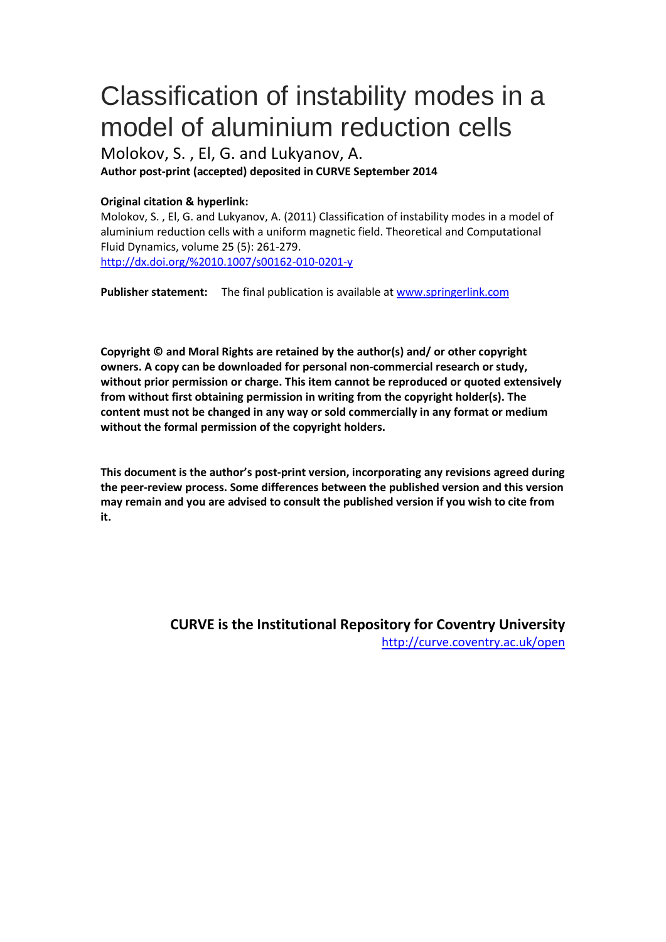# Classification of instability modes in a model of aluminium reduction cells

Molokov, S. , El, G. and Lukyanov, A.

**Author post-print (accepted) deposited in CURVE September 2014**

# **Original citation & hyperlink:**

Molokov, S. , El, G. and Lukyanov, A. (2011) Classification of instability modes in a model of aluminium reduction cells with a uniform magnetic field. Theoretical and Computational Fluid Dynamics, volume 25 (5): 261-279. http://dx.doi.org/%2010.1007/s00162-010-0201-y

**Publisher statement:** The final publication is available at www.springerlink.com

**Copyright © and Moral Rights are retained by the author(s) and/ or other copyright owners. A copy can be downloaded for personal non-commercial research or study, without prior permission or charge. This item cannot be reproduced or quoted extensively from without first obtaining permission in writing from the copyright holder(s). The content must not be changed in any way or sold commercially in any format or medium [without the formal permission of the copyright holders](http://dx.doi.org/%2010.1007/s00162-010-0201-y).** 

**This document is the author's post-print version, incorporating any revisions agreed during the peer-review process. Some diffe[rences between the publis](http://www.springerlink.com/)hed version and this version may remain and you are advised to consult the published version if you wish to cite from it.** 

> **CURVE is the Institutional Repository for Coventry University** http://curve.coventry.ac.uk/open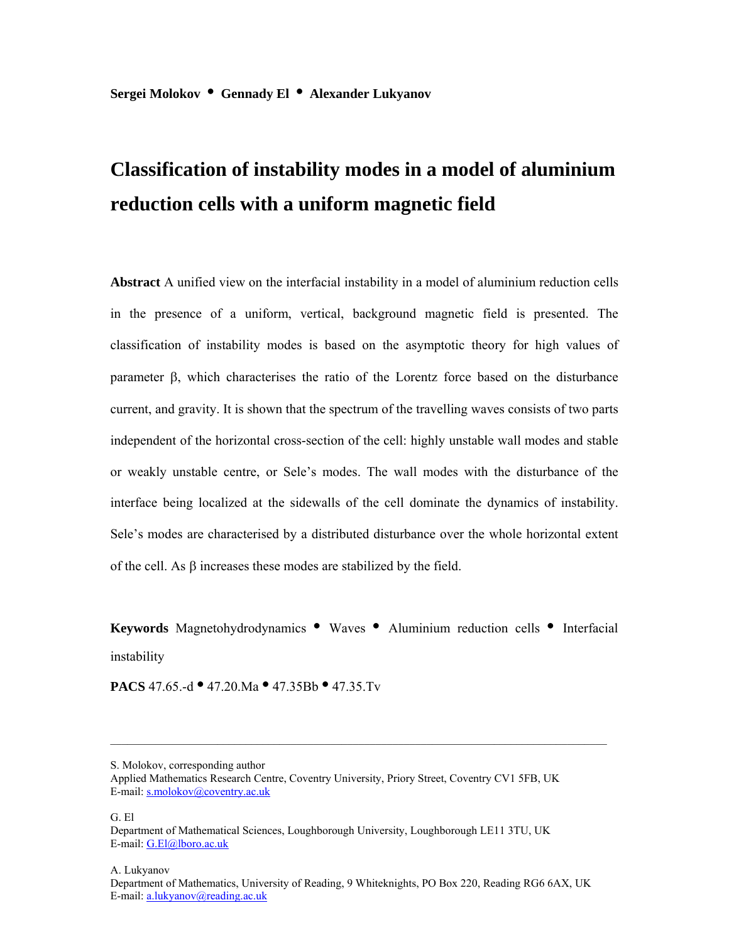**Sergei Molokov • Gennady El • Alexander Lukyanov**

# **Classification of instability modes in a model of aluminium reduction cells with a uniform magnetic field**

**Abstract** A unified view on the interfacial instability in a model of aluminium reduction cells in the presence of a uniform, vertical, background magnetic field is presented. The classification of instability modes is based on the asymptotic theory for high values of parameter  $\beta$ , which characterises the ratio of the Lorentz force based on the disturbance current, and gravity. It is shown that the spectrum of the travelling waves consists of two parts independent of the horizontal cross-section of the cell: highly unstable wall modes and stable or weakly unstable centre, or Sele's modes. The wall modes with the disturbance of the interface being localized at the sidewalls of the cell dominate the dynamics of instability. Sele's modes are characterised by a distributed disturbance over the whole horizontal extent of the cell. As  $\beta$  increases these modes are stabilized by the field.

**Keywords** Magnetohydrodynamics **•** Waves **•** Aluminium reduction cells **•** Interfacial instability

**PACS** 47.65.-d **•** 47.20.Ma **•** 47.35Bb **•** 47.35.Tv

G. El

A. Lukyanov

S. Molokov, corresponding author

Applied Mathematics Research Centre, Coventry University, Priory Street, Coventry CV1 5FB, UK E-mail: s.molokov@coventry.ac.uk

Department of Mathematical Sciences, Loughborough University, Loughborough LE11 3TU, UK E-mail: G.El@lboro.ac.uk

Department of Mathematics, University of Reading, 9 Whiteknights, PO Box 220, Reading RG6 6AX, UK E-mail: a.lukyanov@reading.ac.uk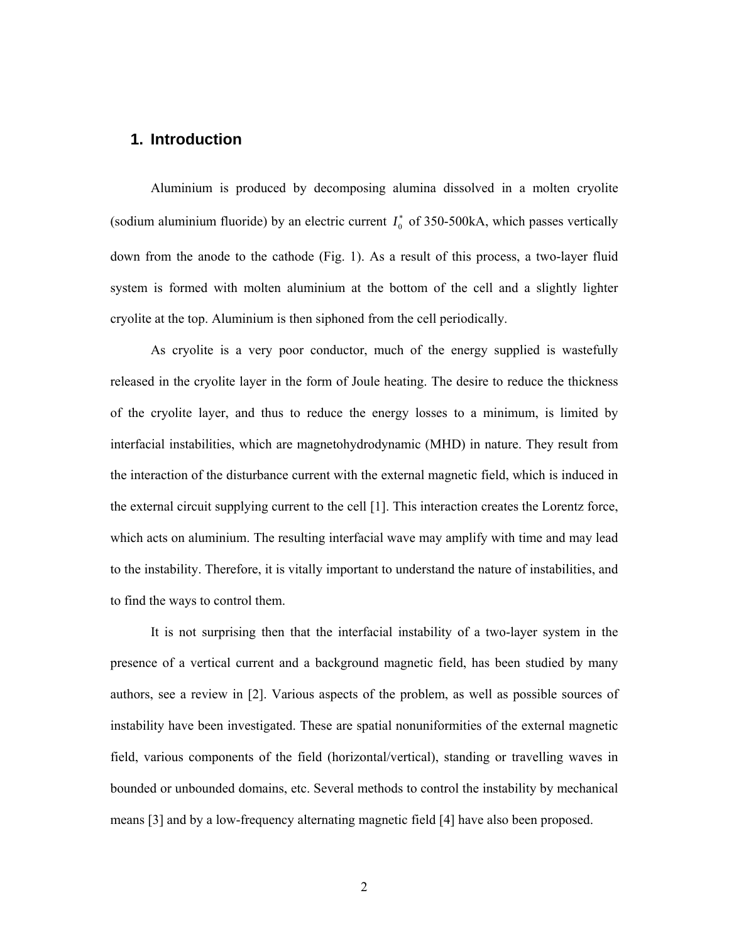# **1. Introduction**

Aluminium is produced by decomposing alumina dissolved in a molten cryolite (sodium aluminium fluoride) by an electric current  $I_0^*$  of 350-500kA, which passes vertically down from the anode to the cathode (Fig. 1). As a result of this process, a two-layer fluid system is formed with molten aluminium at the bottom of the cell and a slightly lighter cryolite at the top. Aluminium is then siphoned from the cell periodically.

As cryolite is a very poor conductor, much of the energy supplied is wastefully released in the cryolite layer in the form of Joule heating. The desire to reduce the thickness of the cryolite layer, and thus to reduce the energy losses to a minimum, is limited by interfacial instabilities, which are magnetohydrodynamic (MHD) in nature. They result from the interaction of the disturbance current with the external magnetic field, which is induced in the external circuit supplying current to the cell [1]. This interaction creates the Lorentz force, which acts on aluminium. The resulting interfacial wave may amplify with time and may lead to the instability. Therefore, it is vitally important to understand the nature of instabilities, and to find the ways to control them.

It is not surprising then that the interfacial instability of a two-layer system in the presence of a vertical current and a background magnetic field, has been studied by many authors, see a review in [2]. Various aspects of the problem, as well as possible sources of instability have been investigated. These are spatial nonuniformities of the external magnetic field, various components of the field (horizontal/vertical), standing or travelling waves in bounded or unbounded domains, etc. Several methods to control the instability by mechanical means [3] and by a low-frequency alternating magnetic field [4] have also been proposed.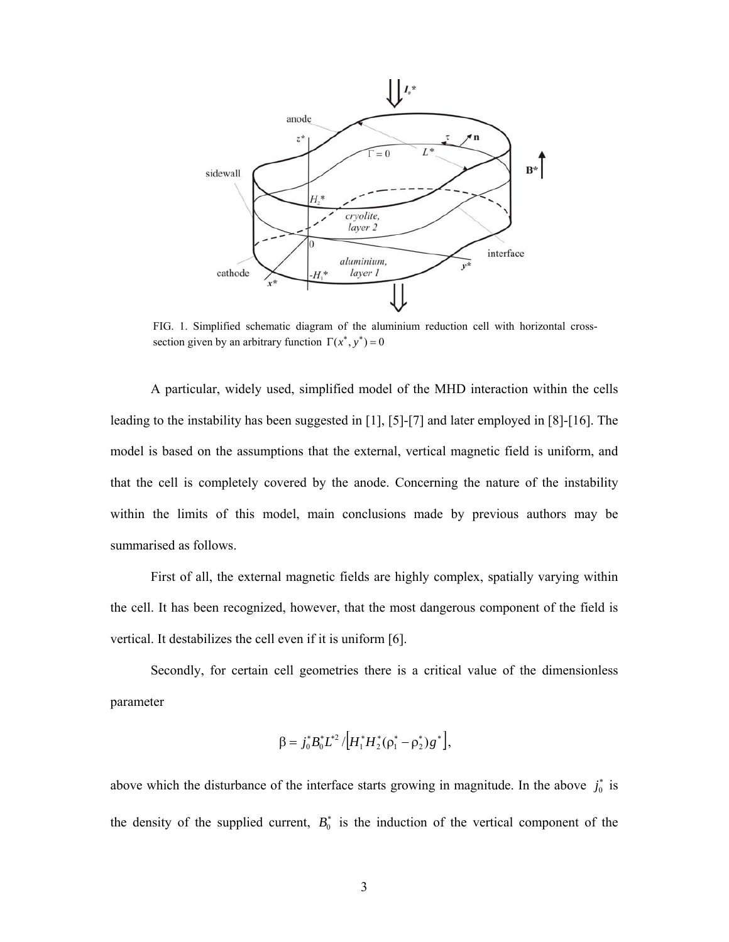

FIG. 1. Simplified schematic diagram of the aluminium reduction cell with horizontal crosssection given by an arbitrary function  $\Gamma(x^*, y^*) = 0$ 

A particular, widely used, simplified model of the MHD interaction within the cells leading to the instability has been suggested in [1], [5]-[7] and later employed in [8]-[16]. The model is based on the assumptions that the external, vertical magnetic field is uniform, and that the cell is completely covered by the anode. Concerning the nature of the instability within the limits of this model, main conclusions made by previous authors may be summarised as follows.

First of all, the external magnetic fields are highly complex, spatially varying within the cell. It has been recognized, however, that the most dangerous component of the field is vertical. It destabilizes the cell even if it is uniform [6].

Secondly, for certain cell geometries there is a critical value of the dimensionless parameter

$$
\beta = j_0^* B_0^* L^{*2} / [H_1^* H_2^* (\rho_1^* - \rho_2^*) g^*],
$$

above which the disturbance of the interface starts growing in magnitude. In the above  $j_0^*$  is the density of the supplied current,  $B_0^*$  is the induction of the vertical component of the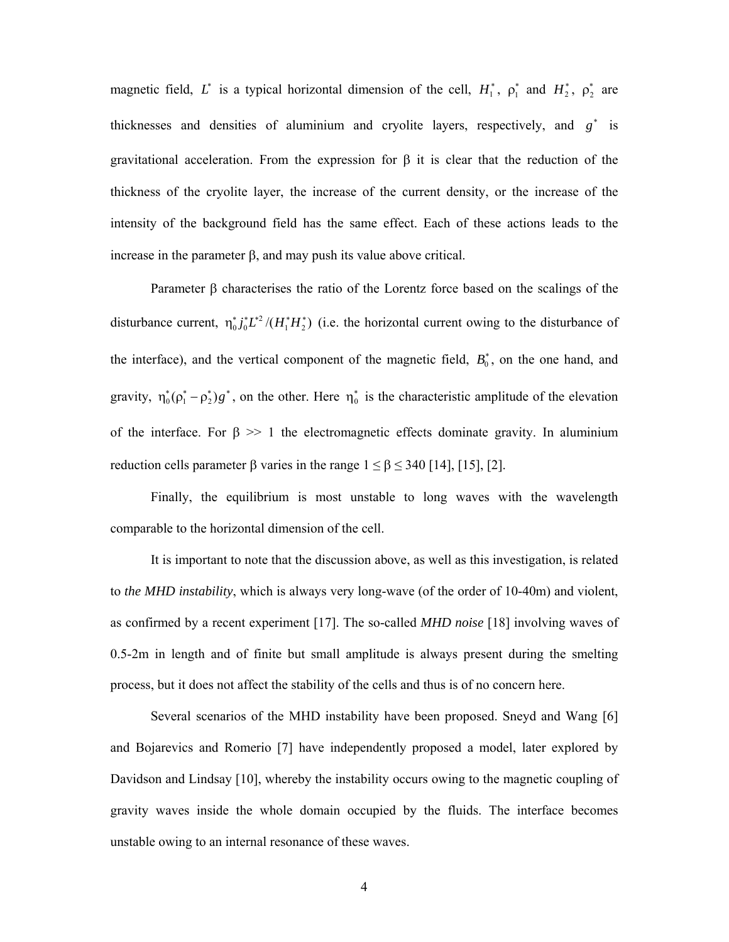magnetic field,  $L^*$  is a typical horizontal dimension of the cell,  $H_1^*$ ,  $\rho_1^*$  and  $H_2^*$ ,  $\rho_2^*$  are thicknesses and densities of aluminium and cryolite layers, respectively, and  $g^*$  is gravitational acceleration. From the expression for  $\beta$  it is clear that the reduction of the thickness of the cryolite layer, the increase of the current density, or the increase of the intensity of the background field has the same effect. Each of these actions leads to the increase in the parameter  $\beta$ , and may push its value above critical.

Parameter  $\beta$  characterises the ratio of the Lorentz force based on the scalings of the disturbance current,  $\eta_0^* j_0^* L^2 / (H_1^* H_2^*)$  (i.e. the horizontal current owing to the disturbance of the interface), and the vertical component of the magnetic field,  $B_0^*$ , on the one hand, and gravity,  $\eta_0^*(\rho_1^* - \rho_2^*)g^*$ , on the other. Here  $\eta_0^*$  is the characteristic amplitude of the elevation of the interface. For  $\beta \gg 1$  the electromagnetic effects dominate gravity. In aluminium reduction cells parameter  $\beta$  varies in the range  $1 \leq \beta \leq 340$  [14], [15], [2].

Finally, the equilibrium is most unstable to long waves with the wavelength comparable to the horizontal dimension of the cell.

It is important to note that the discussion above, as well as this investigation, is related to *the MHD instability*, which is always very long-wave (of the order of 10-40m) and violent, as confirmed by a recent experiment [17]. The so-called *MHD noise* [18] involving waves of 0.5-2m in length and of finite but small amplitude is always present during the smelting process, but it does not affect the stability of the cells and thus is of no concern here.

Several scenarios of the MHD instability have been proposed. Sneyd and Wang [6] and Bojarevics and Romerio [7] have independently proposed a model, later explored by Davidson and Lindsay [10], whereby the instability occurs owing to the magnetic coupling of gravity waves inside the whole domain occupied by the fluids. The interface becomes unstable owing to an internal resonance of these waves.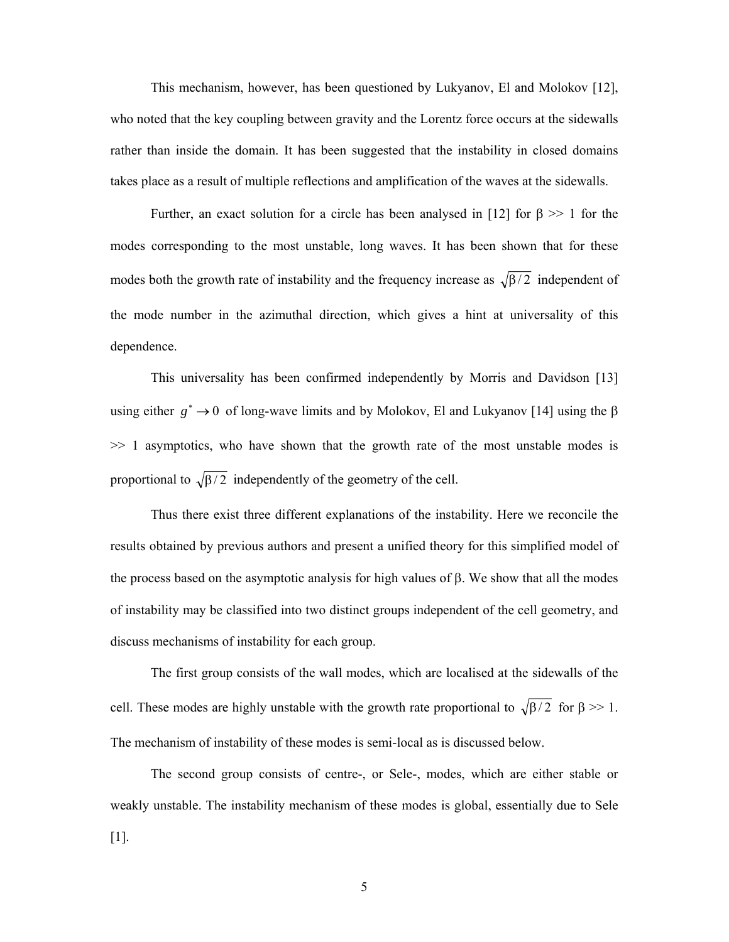This mechanism, however, has been questioned by Lukyanov, El and Molokov [12], who noted that the key coupling between gravity and the Lorentz force occurs at the sidewalls rather than inside the domain. It has been suggested that the instability in closed domains takes place as a result of multiple reflections and amplification of the waves at the sidewalls.

Further, an exact solution for a circle has been analysed in [12] for  $\beta \gg 1$  for the modes corresponding to the most unstable, long waves. It has been shown that for these modes both the growth rate of instability and the frequency increase as  $\sqrt{\frac{\beta}{2}}$  independent of the mode number in the azimuthal direction, which gives a hint at universality of this dependence.

This universality has been confirmed independently by Morris and Davidson [13] using either  $g^* \to 0$  of long-wave limits and by Molokov, El and Lukyanov [14] using the  $\beta$  $\gg$  1 asymptotics, who have shown that the growth rate of the most unstable modes is proportional to  $\sqrt{\beta/2}$  independently of the geometry of the cell.

Thus there exist three different explanations of the instability. Here we reconcile the results obtained by previous authors and present a unified theory for this simplified model of the process based on the asymptotic analysis for high values of  $\beta$ . We show that all the modes of instability may be classified into two distinct groups independent of the cell geometry, and discuss mechanisms of instability for each group.

The first group consists of the wall modes, which are localised at the sidewalls of the cell. These modes are highly unstable with the growth rate proportional to  $\sqrt{\beta/2}$  for  $\beta \gg 1$ . The mechanism of instability of these modes is semi-local as is discussed below.

The second group consists of centre-, or Sele-, modes, which are either stable or weakly unstable. The instability mechanism of these modes is global, essentially due to Sele [1].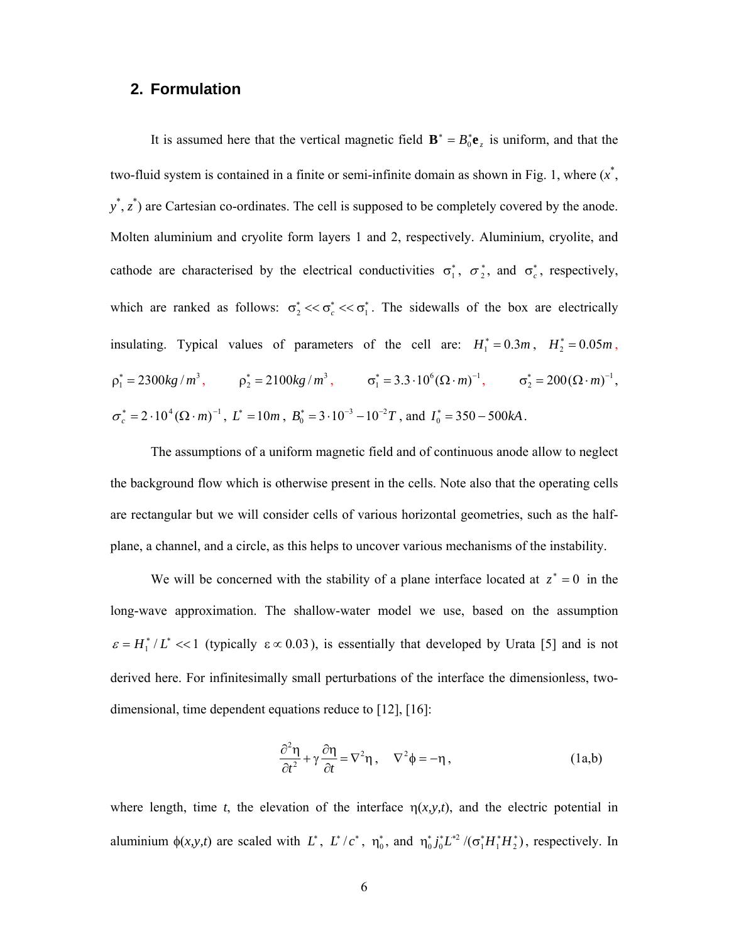# **2. Formulation**

It is assumed here that the vertical magnetic field  $\mathbf{B}^* = B_0^* \mathbf{e}_z$  is uniform, and that the two-fluid system is contained in a finite or semi-infinite domain as shown in Fig. 1, where  $(x^*$ ,  $y^*, z^*$ ) are Cartesian co-ordinates. The cell is supposed to be completely covered by the anode. Molten aluminium and cryolite form layers 1 and 2, respectively. Aluminium, cryolite, and cathode are characterised by the electrical conductivities  $\sigma_1^*$ ,  $\sigma_2^*$ , and  $\sigma_c^*$ , respectively, which are ranked as follows:  $\sigma_2^* \ll \sigma_1^*$ . The sidewalls of the box are electrically insulating. Typical values of parameters of the cell are:  $H_1^* = 0.3m$ ,  $H_2^* = 0.05m$ ,  $\rho_1^* = 2300kg/m^3$ ,  $\rho_2^* = 2100kg/m^3$ ,  $\sigma_1^* = 3.3 \cdot 10^6 (\Omega \cdot m)^{-1}$ ,  $\sigma_2^* = 200 (\Omega \cdot m)^{-1}$ ,  $\sigma_c^* = 2 \cdot 10^4 (\Omega \cdot m)^{-1}$ ,  $L^* = 10m$ ,  $B_0^* = 3 \cdot 10^{-3} - 10^{-2}T$ , and  $I_0^* = 350 - 500kA$ .

The assumptions of a uniform magnetic field and of continuous anode allow to neglect the background flow which is otherwise present in the cells. Note also that the operating cells are rectangular but we will consider cells of various horizontal geometries, such as the halfplane, a channel, and a circle, as this helps to uncover various mechanisms of the instability.

We will be concerned with the stability of a plane interface located at  $z^* = 0$  in the long-wave approximation. The shallow-water model we use, based on the assumption  $\epsilon = H_1^* / L^* \ll 1$  (typically  $\epsilon \propto 0.03$ ), is essentially that developed by Urata [5] and is not derived here. For infinitesimally small perturbations of the interface the dimensionless, twodimensional, time dependent equations reduce to [12], [16]:

$$
\frac{\partial^2 \eta}{\partial t^2} + \gamma \frac{\partial \eta}{\partial t} = \nabla^2 \eta \,, \quad \nabla^2 \phi = -\eta \,, \tag{1a,b}
$$

where length, time *t*, the elevation of the interface  $\eta(x, y, t)$ , and the electric potential in aluminium  $\phi(x, y, t)$  are scaled with L<sup>\*</sup>, L<sup>\*</sup>/c<sup>\*</sup>,  $\eta_0^*$ , and  $\eta_0^* j_0^* L^{*2}/(\sigma_1^* H_1^* H_2^*)$ , respectively. In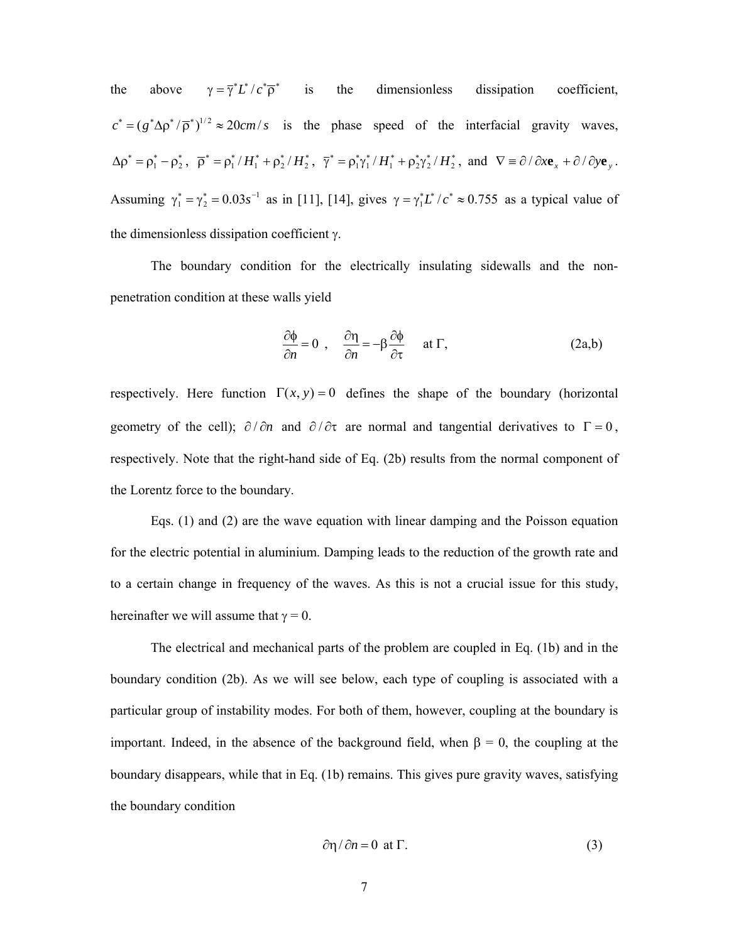the above  $\gamma = \overline{\gamma}^* L^* / c^* \overline{\rho}^*$  is the dimensionless dissipation coefficient,  $c^* = (g^* \Delta \rho^* / \overline{\rho}^*)^{1/2} \approx 20 \, \text{cm/s}$  is the phase speed of the interfacial gravity waves,  $\Delta \rho^* = \rho_1^* - \rho_2^*$ ,  $\overline{\rho}^* = \rho_1^* / H_1^* + \rho_2^* / H_2^*$ ,  $\overline{\gamma}^* = \rho_1^* \gamma_1^* / H_1^* + \rho_2^* \gamma_2^* / H_2^*$ , and  $\nabla \equiv \partial / \partial x \mathbf{e}_x + \partial / \partial y \mathbf{e}_y$ . Assuming  $\gamma_1^* = \gamma_2^* = 0.03 s^{-1}$  as in [11], [14], gives  $\gamma = \gamma_1^* L^* / c^* \approx 0.755$  as a typical value of the dimensionless dissipation coefficient  $\gamma$ .

 The boundary condition for the electrically insulating sidewalls and the nonpenetration condition at these walls yield

$$
\frac{\partial \phi}{\partial n} = 0 \ , \quad \frac{\partial \eta}{\partial n} = -\beta \frac{\partial \phi}{\partial \tau} \quad \text{at } \Gamma, \tag{2a,b}
$$

respectively. Here function  $\Gamma(x, y) = 0$  defines the shape of the boundary (horizontal geometry of the cell);  $\partial/\partial n$  and  $\partial/\partial \tau$  are normal and tangential derivatives to  $\Gamma = 0$ , respectively. Note that the right-hand side of Eq. (2b) results from the normal component of the Lorentz force to the boundary.

 Eqs. (1) and (2) are the wave equation with linear damping and the Poisson equation for the electric potential in aluminium. Damping leads to the reduction of the growth rate and to a certain change in frequency of the waves. As this is not a crucial issue for this study, hereinafter we will assume that  $\gamma = 0$ .

The electrical and mechanical parts of the problem are coupled in Eq. (1b) and in the boundary condition (2b). As we will see below, each type of coupling is associated with a particular group of instability modes. For both of them, however, coupling at the boundary is important. Indeed, in the absence of the background field, when  $\beta = 0$ , the coupling at the boundary disappears, while that in Eq. (1b) remains. This gives pure gravity waves, satisfying the boundary condition

$$
\frac{\partial \eta}{\partial n} = 0 \text{ at } \Gamma. \tag{3}
$$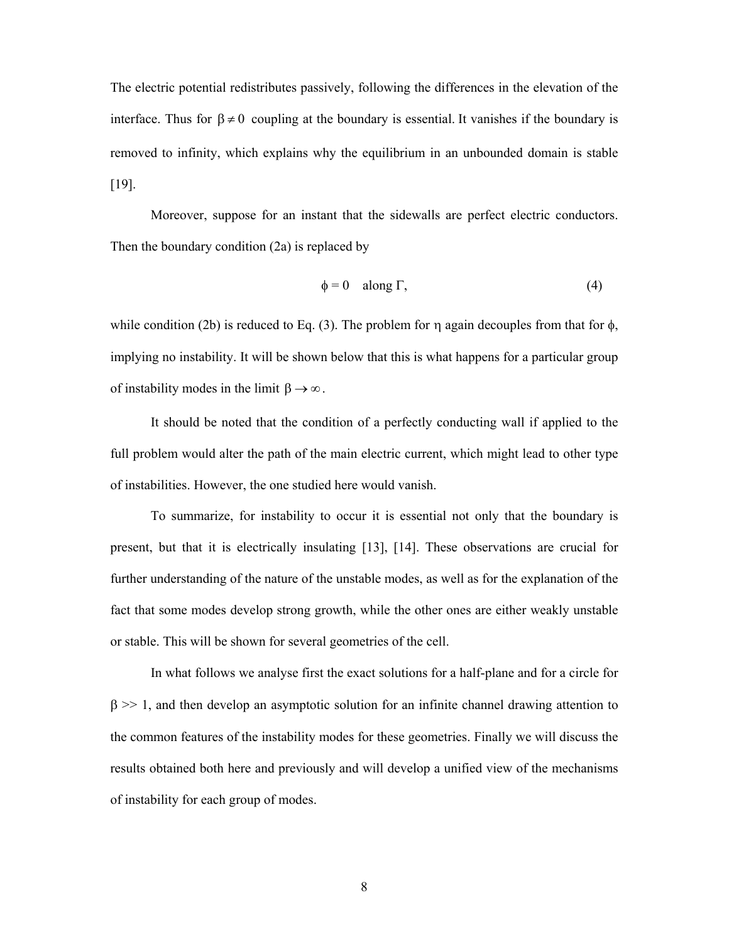The electric potential redistributes passively, following the differences in the elevation of the interface. Thus for  $\beta \neq 0$  coupling at the boundary is essential. It vanishes if the boundary is removed to infinity, which explains why the equilibrium in an unbounded domain is stable [19].

Moreover, suppose for an instant that the sidewalls are perfect electric conductors. Then the boundary condition (2a) is replaced by

$$
\phi = 0 \quad \text{along } \Gamma,\tag{4}
$$

while condition (2b) is reduced to Eq. (3). The problem for  $\eta$  again decouples from that for  $\phi$ , implying no instability. It will be shown below that this is what happens for a particular group of instability modes in the limit  $\beta \rightarrow \infty$ .

 It should be noted that the condition of a perfectly conducting wall if applied to the full problem would alter the path of the main electric current, which might lead to other type of instabilities. However, the one studied here would vanish.

To summarize, for instability to occur it is essential not only that the boundary is present, but that it is electrically insulating [13], [14]. These observations are crucial for further understanding of the nature of the unstable modes, as well as for the explanation of the fact that some modes develop strong growth, while the other ones are either weakly unstable or stable. This will be shown for several geometries of the cell.

In what follows we analyse first the exact solutions for a half-plane and for a circle for  $\beta \gg 1$ , and then develop an asymptotic solution for an infinite channel drawing attention to the common features of the instability modes for these geometries. Finally we will discuss the results obtained both here and previously and will develop a unified view of the mechanisms of instability for each group of modes.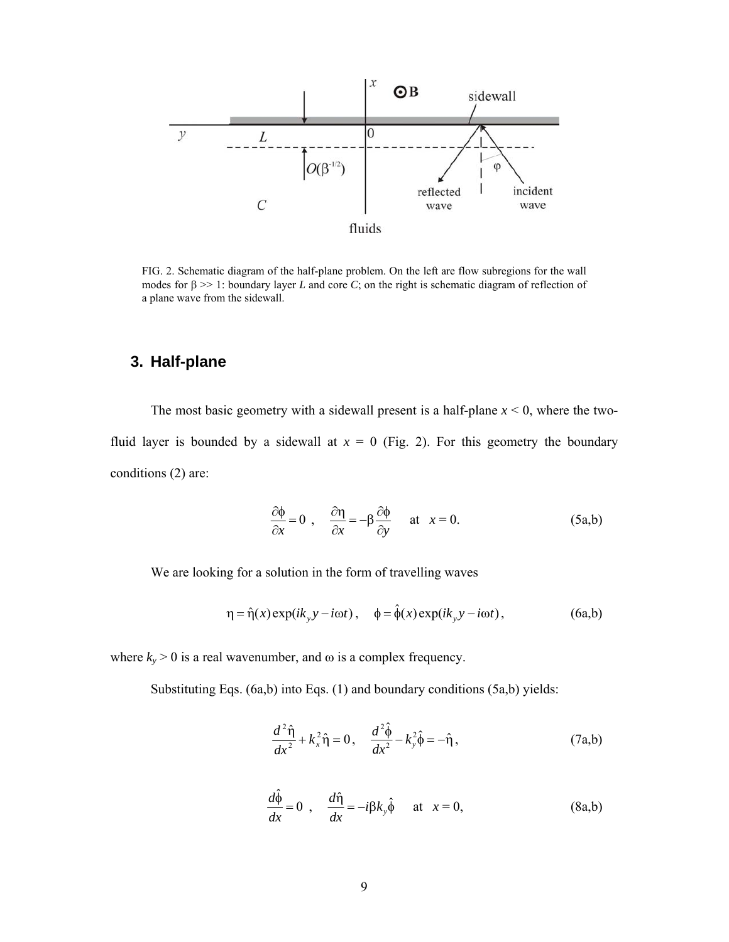

FIG. 2. Schematic diagram of the half-plane problem. On the left are flow subregions for the wall modes for  $\beta \gg 1$ : boundary layer *L* and core *C*; on the right is schematic diagram of reflection of a plane wave from the sidewall.

# **3. Half-plane**

The most basic geometry with a sidewall present is a half-plane  $x < 0$ , where the twofluid layer is bounded by a sidewall at  $x = 0$  (Fig. 2). For this geometry the boundary conditions (2) are:

$$
\frac{\partial \phi}{\partial x} = 0 \ , \quad \frac{\partial \eta}{\partial x} = -\beta \frac{\partial \phi}{\partial y} \quad \text{at} \quad x = 0. \tag{5a,b}
$$

We are looking for a solution in the form of travelling waves

$$
\eta = \hat{\eta}(x) \exp(ik_y y - i\omega t), \quad \phi = \hat{\phi}(x) \exp(ik_y y - i\omega t), \tag{6a,b}
$$

where  $k_y > 0$  is a real wavenumber, and  $\omega$  is a complex frequency.

Substituting Eqs. (6a,b) into Eqs. (1) and boundary conditions (5a,b) yields:

$$
\frac{d^2\hat{\eta}}{dx^2} + k_x^2 \hat{\eta} = 0, \quad \frac{d^2\hat{\phi}}{dx^2} - k_y^2 \hat{\phi} = -\hat{\eta}, \tag{7a,b}
$$

$$
\frac{d\hat{\phi}}{dx} = 0 \ , \quad \frac{d\hat{\eta}}{dx} = -i\beta k_y \hat{\phi} \quad \text{at} \quad x = 0, \tag{8a,b}
$$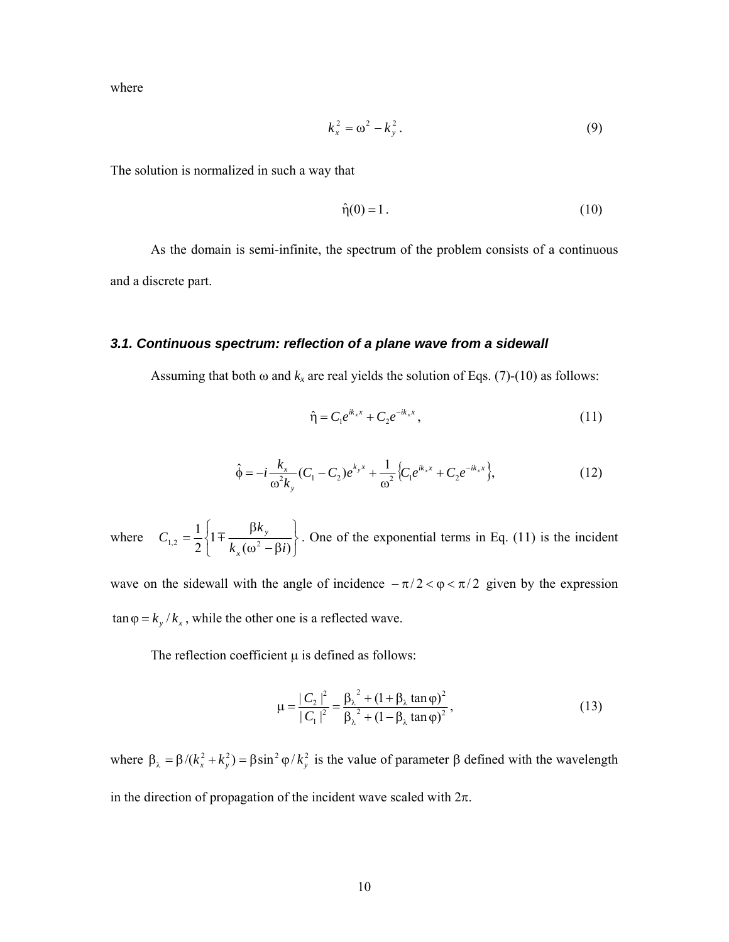where

$$
k_x^2 = \omega^2 - k_y^2. \tag{9}
$$

The solution is normalized in such a way that

$$
\hat{\eta}(0) = 1. \tag{10}
$$

As the domain is semi-infinite, the spectrum of the problem consists of a continuous and a discrete part.

#### *3.1. Continuous spectrum: reflection of a plane wave from a sidewall*

Assuming that both  $\omega$  and  $k_x$  are real yields the solution of Eqs. (7)-(10) as follows:

$$
\hat{\eta} = C_1 e^{ik_x x} + C_2 e^{-ik_x x}, \qquad (11)
$$

$$
\hat{\phi} = -i\frac{k_x}{\omega^2 k_y} (C_1 - C_2) e^{k_y x} + \frac{1}{\omega^2} \Big\{ C_1 e^{ik_x x} + C_2 e^{-ik_x x} \Big\},\tag{12}
$$

where J  $\left\{ \right.$  $\mathbf{I}$  $\overline{\mathfrak{l}}$ ⇃  $\left\lceil \right\rceil$  $=\frac{1}{2}\left\{1\mp\frac{\beta k_y}{k_x(\omega^2-\beta i)}\right\}$ 1 2 1  $k_x$   $(\omega^2 - \beta i)^{1/2}$ *k C x*  $\frac{\mu_{\kappa_y}}{1+(\kappa^2-2\kappa)}$ . One of the exponential terms in Eq. (11) is the incident

wave on the sidewall with the angle of incidence  $-\pi/2 < \varphi < \pi/2$  given by the expression  $\tan \varphi = k_y / k_x$ , while the other one is a reflected wave.

The reflection coefficient  $\mu$  is defined as follows:

$$
\mu = \frac{|C_2|^2}{|C_1|^2} = \frac{\beta_{\lambda}^2 + (1 + \beta_{\lambda} \tan \varphi)^2}{\beta_{\lambda}^2 + (1 - \beta_{\lambda} \tan \varphi)^2},
$$
\n(13)

where  $\beta_{\lambda} = \beta/(k_x^2 + k_y^2) = \beta \sin^2 \varphi / k_y^2$  is the value of parameter  $\beta$  defined with the wavelength in the direction of propagation of the incident wave scaled with  $2\pi$ .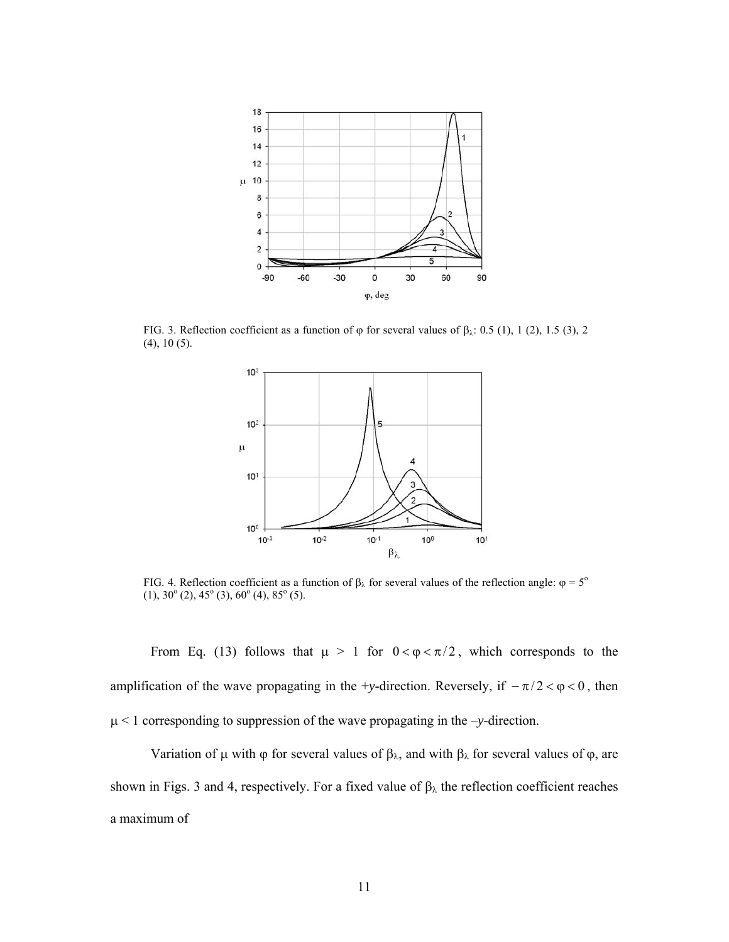

FIG. 3. Reflection coefficient as a function of  $\varphi$  for several values of  $\beta_{\lambda}$ : 0.5 (1), 1 (2), 1.5 (3), 2 (4), 10 (5).



FIG. 4. Reflection coefficient as a function of  $\beta_{\lambda}$  for several values of the reflection angle:  $\varphi = 5^{\circ}$  $(1), 30^{\circ}(2), 45^{\circ}(3), 60^{\circ}(4), 85^{\circ}(5).$ 

From Eq. (13) follows that  $\mu > 1$  for  $0 < \varphi < \pi/2$ , which corresponds to the amplification of the wave propagating in the +*y*-direction. Reversely, if  $-\pi/2 < \varphi < 0$ , then < 1 corresponding to suppression of the wave propagating in the –*y*-direction.

Variation of  $\mu$  with  $\varphi$  for several values of  $\beta_{\lambda}$ , and with  $\beta_{\lambda}$  for several values of  $\varphi$ , are shown in Figs. 3 and 4, respectively. For a fixed value of  $\beta_{\lambda}$  the reflection coefficient reaches a maximum of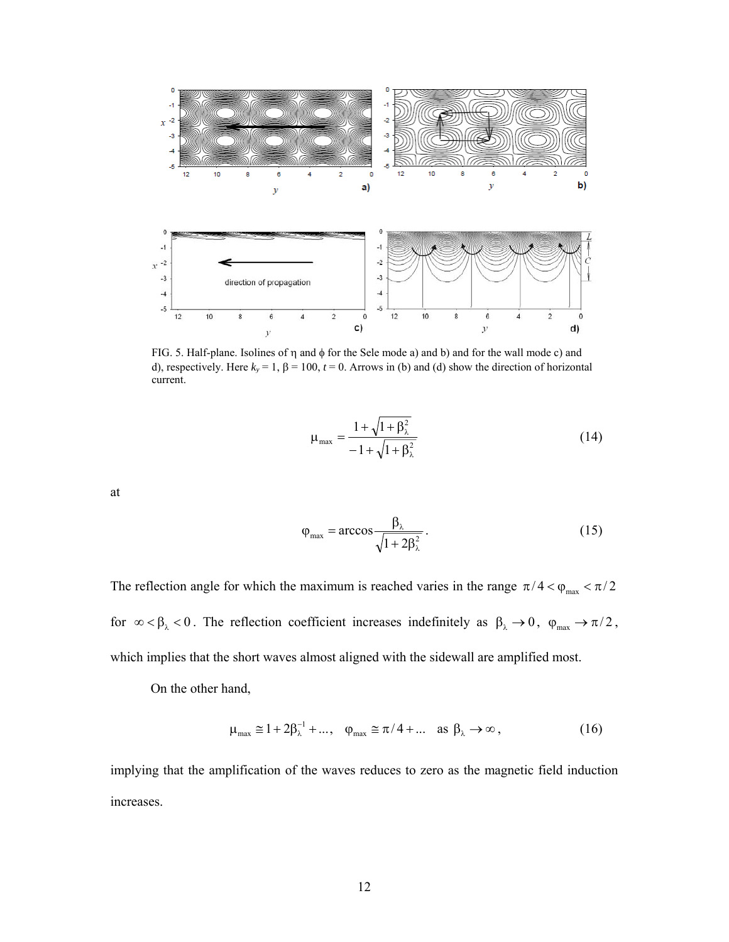

FIG. 5. Half-plane. Isolines of  $\eta$  and  $\phi$  for the Sele mode a) and b) and for the wall mode c) and d), respectively. Here  $k_y = 1$ ,  $\beta = 100$ ,  $t = 0$ . Arrows in (b) and (d) show the direction of horizontal current.

$$
\mu_{\max} = \frac{1 + \sqrt{1 + \beta_{\lambda}^2}}{-1 + \sqrt{1 + \beta_{\lambda}^2}}
$$
(14)

at

$$
\varphi_{\text{max}} = \arccos \frac{\beta_{\lambda}}{\sqrt{1 + 2\beta_{\lambda}^2}}.
$$
\n(15)

The reflection angle for which the maximum is reached varies in the range  $\pi/4 < \varphi_{\text{max}} < \pi/2$ for  $\infty < \beta_{\lambda} < 0$ . The reflection coefficient increases indefinitely as  $\beta_{\lambda} \to 0$ ,  $\varphi_{\text{max}} \to \pi/2$ , which implies that the short waves almost aligned with the sidewall are amplified most.

On the other hand,

$$
\mu_{\text{max}} \cong 1 + 2\beta_{\lambda}^{-1} + \dots, \quad \varphi_{\text{max}} \cong \pi/4 + \dots \quad \text{as } \beta_{\lambda} \to \infty,
$$
\n(16)

implying that the amplification of the waves reduces to zero as the magnetic field induction increases.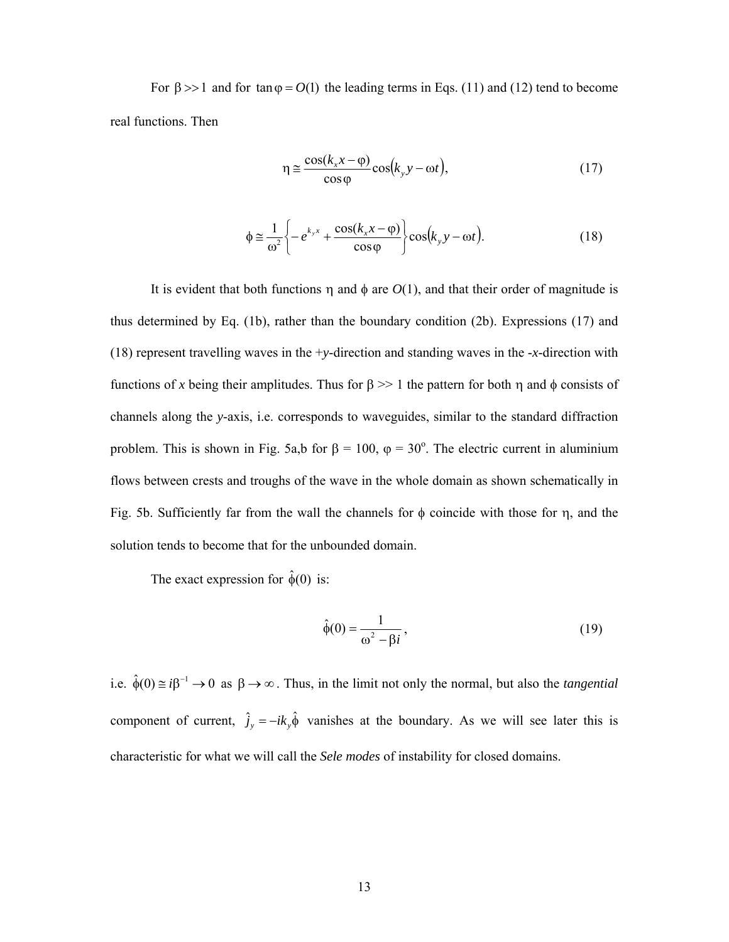For  $\beta >> 1$  and for tan  $\varphi = O(1)$  the leading terms in Eqs. (11) and (12) tend to become real functions. Then

$$
\eta \approx \frac{\cos(k_x x - \varphi)}{\cos \varphi} \cos(k_y y - \omega t),\tag{17}
$$

$$
\phi \approx \frac{1}{\omega^2} \left\{ -e^{k_y x} + \frac{\cos(k_x x - \varphi)}{\cos \varphi} \right\} \cos(k_y y - \omega t). \tag{18}
$$

It is evident that both functions  $\eta$  and  $\phi$  are  $O(1)$ , and that their order of magnitude is thus determined by Eq. (1b), rather than the boundary condition (2b). Expressions (17) and (18) represent travelling waves in the +*y*-direction and standing waves in the -*x*-direction with functions of x being their amplitudes. Thus for  $\beta \geq 1$  the pattern for both  $\eta$  and  $\phi$  consists of channels along the *y*-axis, i.e. corresponds to waveguides, similar to the standard diffraction problem. This is shown in Fig. 5a,b for  $\beta = 100$ ,  $\varphi = 30^{\circ}$ . The electric current in aluminium flows between crests and troughs of the wave in the whole domain as shown schematically in Fig. 5b. Sufficiently far from the wall the channels for  $\phi$  coincide with those for  $\eta$ , and the solution tends to become that for the unbounded domain.

The exact expression for  $\hat{\phi}(0)$  is:

$$
\hat{\phi}(0) = \frac{1}{\omega^2 - \beta i},\tag{19}
$$

i.e.  $\hat{\phi}(0) \approx i\beta^{-1} \rightarrow 0$  as  $\beta \rightarrow \infty$ . Thus, in the limit not only the normal, but also the *tangential* component of current,  $\hat{j}_y = -ik_y\hat{\phi}$  vanishes at the boundary. As we will see later this is characteristic for what we will call the *Sele modes* of instability for closed domains.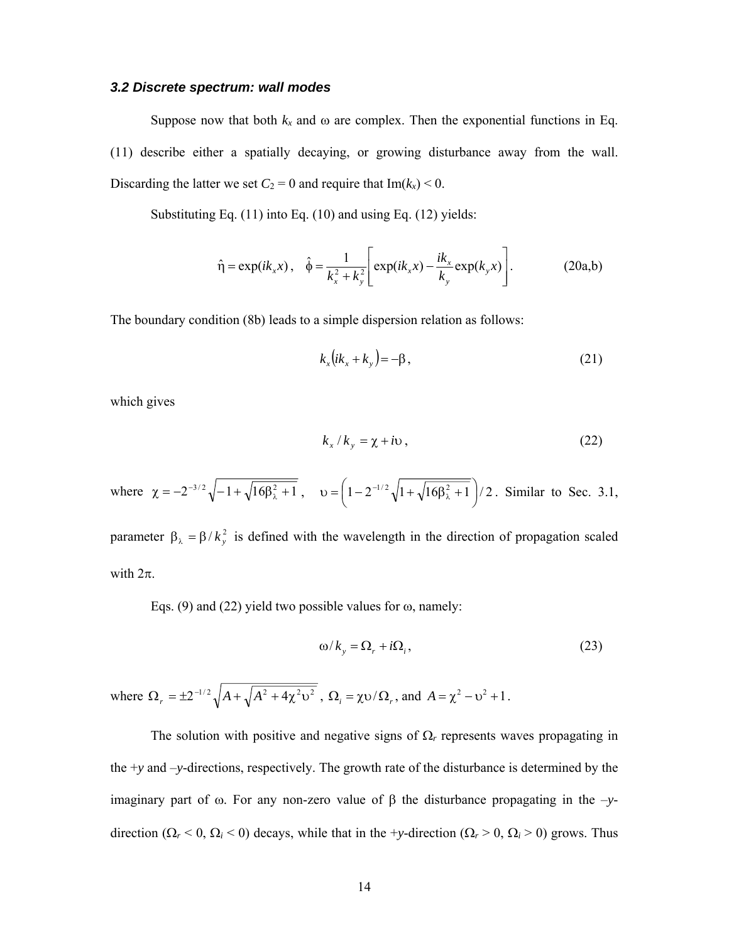#### *3.2 Discrete spectrum: wall modes*

Suppose now that both  $k_x$  and  $\omega$  are complex. Then the exponential functions in Eq. (11) describe either a spatially decaying, or growing disturbance away from the wall. Discarding the latter we set  $C_2 = 0$  and require that  $Im(k_x) < 0$ .

Substituting Eq. (11) into Eq. (10) and using Eq. (12) yields:

$$
\hat{\eta} = \exp(ik_x x), \quad \hat{\phi} = \frac{1}{k_x^2 + k_y^2} \left[ \exp(ik_x x) - \frac{ik_x}{k_y} \exp(k_y x) \right].
$$
 (20a,b)

The boundary condition (8b) leads to a simple dispersion relation as follows:

$$
k_x\big(i k_x + k_y\big) = -\beta\,,\tag{21}
$$

which gives

$$
k_x / k_y = \chi + i \upsilon, \qquad (22)
$$

where  $\chi = -2^{-3/2} \sqrt{-1 + \sqrt{16\beta_{\lambda}^2 + 1}}$ ,  $\upsilon = \left(1 - 2^{-1/2} \sqrt{1 + \sqrt{16\beta_{\lambda}^2 + 1}}\right)/2$ . Similar to Sec. 3.1,

parameter  $\beta_{\lambda} = \beta / k_y^2$  is defined with the wavelength in the direction of propagation scaled with  $2\pi$ .

Eqs. (9) and (22) yield two possible values for  $\omega$ , namely:

$$
\omega / k_{y} = \Omega_{r} + i\Omega_{i},\tag{23}
$$

where  $\Omega_r = \pm 2^{-1/2} \sqrt{A + \sqrt{A^2 + 4\chi^2 v^2}}$ ,  $\Omega_i = \chi v / \Omega_r$ , and  $A = \chi^2 - v^2 + 1$ .

The solution with positive and negative signs of  $\Omega_r$  represents waves propagating in the +*y* and –*y*-directions, respectively. The growth rate of the disturbance is determined by the imaginary part of  $\omega$ . For any non-zero value of  $\beta$  the disturbance propagating in the  $-\gamma$ direction ( $\Omega_r < 0$ ,  $\Omega_i < 0$ ) decays, while that in the +*y*-direction ( $\Omega_r > 0$ ,  $\Omega_i > 0$ ) grows. Thus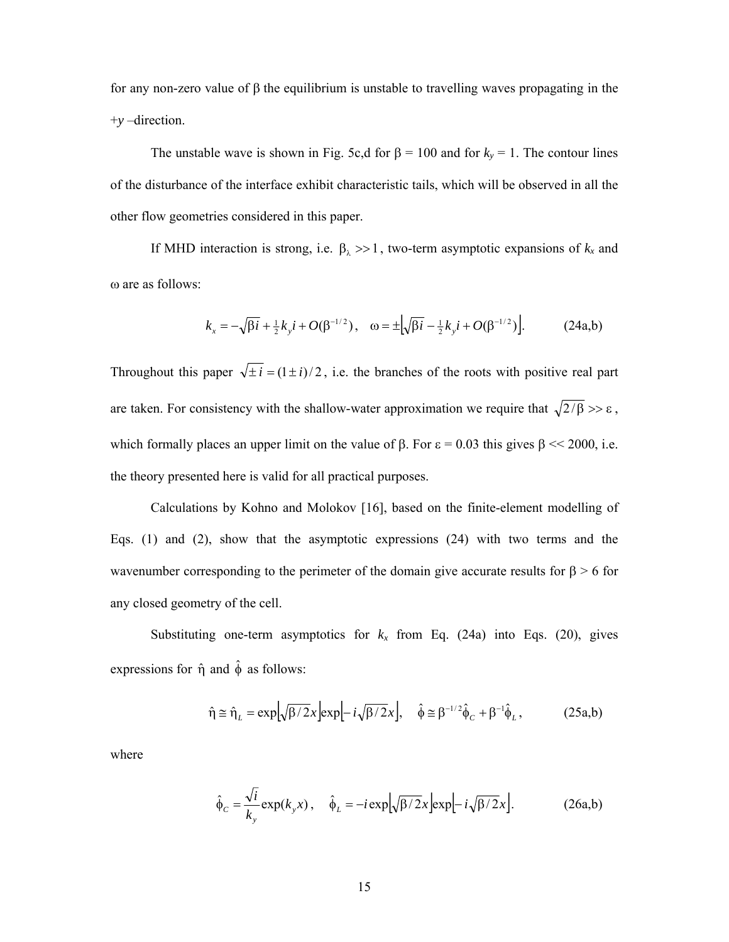for any non-zero value of  $\beta$  the equilibrium is unstable to travelling waves propagating in the +*y* –direction.

The unstable wave is shown in Fig. 5c,d for  $\beta = 100$  and for  $k_y = 1$ . The contour lines of the disturbance of the interface exhibit characteristic tails, which will be observed in all the other flow geometries considered in this paper.

If MHD interaction is strong, i.e.  $\beta_{\lambda} >> 1$ , two-term asymptotic expansions of  $k_x$  and ω are as follows:

$$
k_x = -\sqrt{\beta i} + \frac{1}{2}k_y i + O(\beta^{-1/2}), \quad \omega = \pm \left[\sqrt{\beta i} - \frac{1}{2}k_y i + O(\beta^{-1/2})\right].
$$
 (24a,b)

Throughout this paper  $\sqrt{\pm i} = (1 \pm i)/2$ , i.e. the branches of the roots with positive real part are taken. For consistency with the shallow-water approximation we require that  $\sqrt{2/\beta} >> \varepsilon$ , which formally places an upper limit on the value of  $\beta$ . For  $\varepsilon = 0.03$  this gives  $\beta \ll 2000$ , i.e. the theory presented here is valid for all practical purposes.

 Calculations by Kohno and Molokov [16], based on the finite-element modelling of Eqs. (1) and (2), show that the asymptotic expressions (24) with two terms and the wavenumber corresponding to the perimeter of the domain give accurate results for  $\beta > 6$  for any closed geometry of the cell.

Substituting one-term asymptotics for  $k_x$  from Eq. (24a) into Eqs. (20), gives expressions for  $\hat{\eta}$  and  $\hat{\phi}$  as follows:

$$
\hat{\eta} \approx \hat{\eta}_L = \exp[\sqrt{\beta/2}x] \exp[-i\sqrt{\beta/2}x], \quad \hat{\phi} \approx \beta^{-1/2} \hat{\phi}_C + \beta^{-1} \hat{\phi}_L, \quad (25a,b)
$$

where

$$
\hat{\phi}_C = \frac{\sqrt{i}}{k_y} \exp(k_y x), \quad \hat{\phi}_L = -i \exp[\sqrt{\beta/2}x] \exp[-i\sqrt{\beta/2}x].
$$
 (26a,b)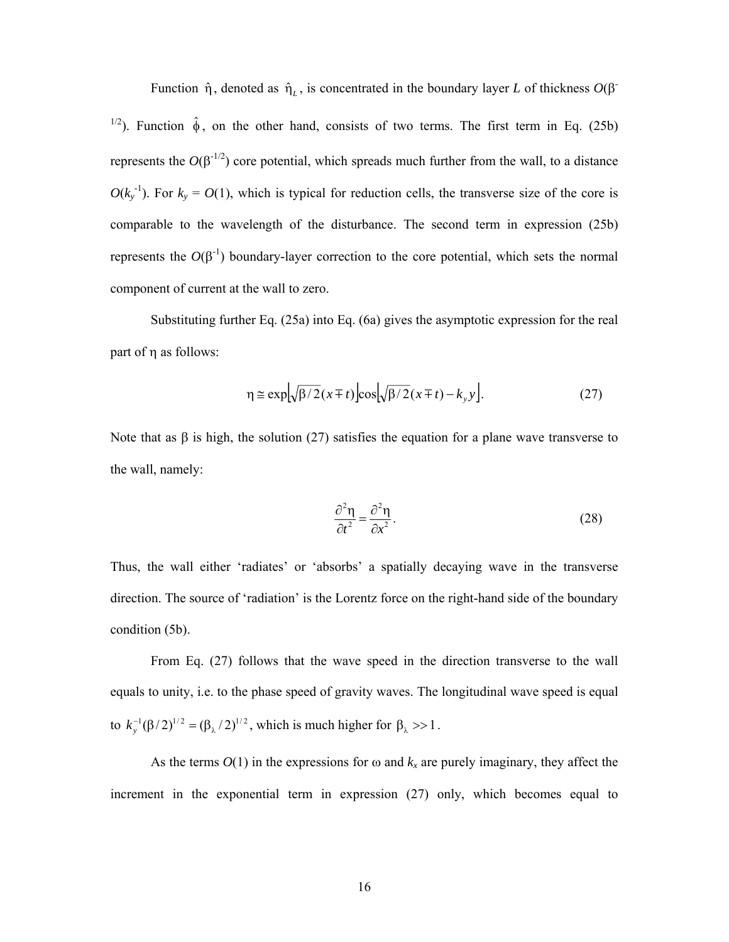Function  $\hat{\eta}$ , denoted as  $\hat{\eta}_L$ , is concentrated in the boundary layer *L* of thickness  $O(\beta^2)$ <sup>1/2</sup>). Function  $\hat{\phi}$ , on the other hand, consists of two terms. The first term in Eq. (25b) represents the  $O(\beta^{1/2})$  core potential, which spreads much further from the wall, to a distance  $O(k_y^{-1})$ . For  $k_y = O(1)$ , which is typical for reduction cells, the transverse size of the core is comparable to the wavelength of the disturbance. The second term in expression (25b) represents the  $O(\beta^{-1})$  boundary-layer correction to the core potential, which sets the normal component of current at the wall to zero.

Substituting further Eq. (25a) into Eq. (6a) gives the asymptotic expression for the real part of  $\eta$  as follows:

$$
\eta \cong \exp\left[\sqrt{\beta/2}(x \mp t)\right] \cos\left[\sqrt{\beta/2}(x \mp t) - k_{y} y\right].
$$
 (27)

Note that as  $\beta$  is high, the solution (27) satisfies the equation for a plane wave transverse to the wall, namely:

$$
\frac{\partial^2 \eta}{\partial t^2} = \frac{\partial^2 \eta}{\partial x^2}.
$$
 (28)

Thus, the wall either 'radiates' or 'absorbs' a spatially decaying wave in the transverse direction. The source of 'radiation' is the Lorentz force on the right-hand side of the boundary condition (5b).

 From Eq. (27) follows that the wave speed in the direction transverse to the wall equals to unity, i.e. to the phase speed of gravity waves. The longitudinal wave speed is equal to  $k_y^{-1}(\beta/2)^{1/2} = (\beta_\lambda/2)^{1/2}$ , which is much higher for  $\beta_\lambda >> 1$ .

As the terms  $O(1)$  in the expressions for  $\omega$  and  $k_x$  are purely imaginary, they affect the increment in the exponential term in expression (27) only, which becomes equal to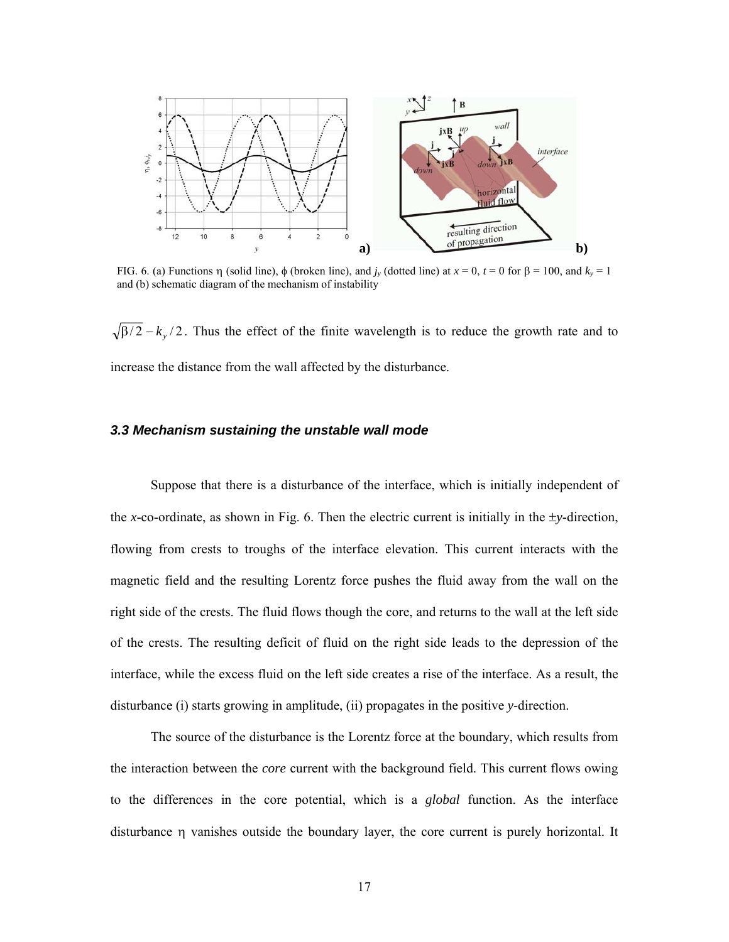

FIG. 6. (a) Functions  $\eta$  (solid line),  $\phi$  (broken line), and  $j_y$  (dotted line) at  $x = 0$ ,  $t = 0$  for  $\beta = 100$ , and  $k_y = 1$ and (b) schematic diagram of the mechanism of instability

 $\sqrt{\frac{\beta}{2}} - k_y/2$ . Thus the effect of the finite wavelength is to reduce the growth rate and to increase the distance from the wall affected by the disturbance.

#### *3.3 Mechanism sustaining the unstable wall mode*

Suppose that there is a disturbance of the interface, which is initially independent of the *x*-co-ordinate, as shown in Fig. 6. Then the electric current is initially in the  $\pm$ y-direction, flowing from crests to troughs of the interface elevation. This current interacts with the magnetic field and the resulting Lorentz force pushes the fluid away from the wall on the right side of the crests. The fluid flows though the core, and returns to the wall at the left side of the crests. The resulting deficit of fluid on the right side leads to the depression of the interface, while the excess fluid on the left side creates a rise of the interface. As a result, the disturbance (i) starts growing in amplitude, (ii) propagates in the positive *y*-direction.

The source of the disturbance is the Lorentz force at the boundary, which results from the interaction between the *core* current with the background field. This current flows owing to the differences in the core potential, which is a *global* function. As the interface disturbance  $\eta$  vanishes outside the boundary layer, the core current is purely horizontal. It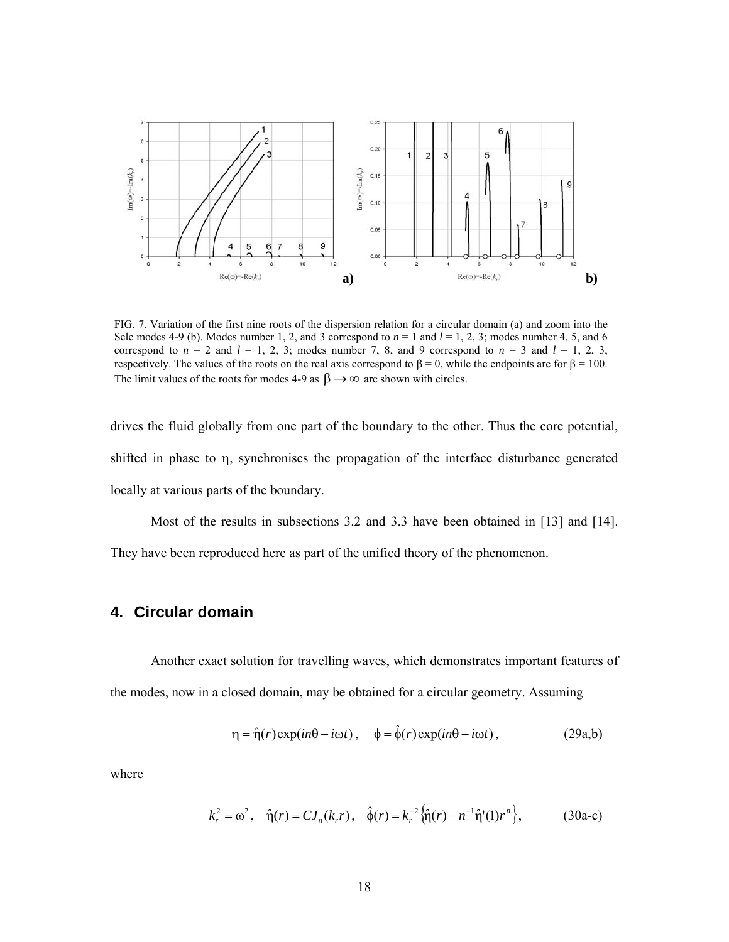

FIG. 7. Variation of the first nine roots of the dispersion relation for a circular domain (a) and zoom into the Sele modes 4-9 (b). Modes number 1, 2, and 3 correspond to  $n = 1$  and  $l = 1, 2, 3$ ; modes number 4, 5, and 6 correspond to  $n = 2$  and  $l = 1, 2, 3$ ; modes number 7, 8, and 9 correspond to  $n = 3$  and  $l = 1, 2, 3$ , respectively. The values of the roots on the real axis correspond to  $\beta = 0$ , while the endpoints are for  $\beta = 100$ . The limit values of the roots for modes 4-9 as  $\beta \rightarrow \infty$  are shown with circles.

drives the fluid globally from one part of the boundary to the other. Thus the core potential, shifted in phase to  $\eta$ , synchronises the propagation of the interface disturbance generated locally at various parts of the boundary.

Most of the results in subsections 3.2 and 3.3 have been obtained in [13] and [14]. They have been reproduced here as part of the unified theory of the phenomenon.

# **4. Circular domain**

Another exact solution for travelling waves, which demonstrates important features of the modes, now in a closed domain, may be obtained for a circular geometry. Assuming

$$
\eta = \hat{\eta}(r) \exp(in\theta - i\omega t), \quad \phi = \hat{\phi}(r) \exp(in\theta - i\omega t), \tag{29a,b}
$$

where

$$
k_r^2 = \omega^2
$$
,  $\hat{\eta}(r) = CJ_n(k_r r)$ ,  $\hat{\phi}(r) = k_r^{-2} \{\hat{\eta}(r) - n^{-1} \hat{\eta}'(1) r^n\}$ , (30a-c)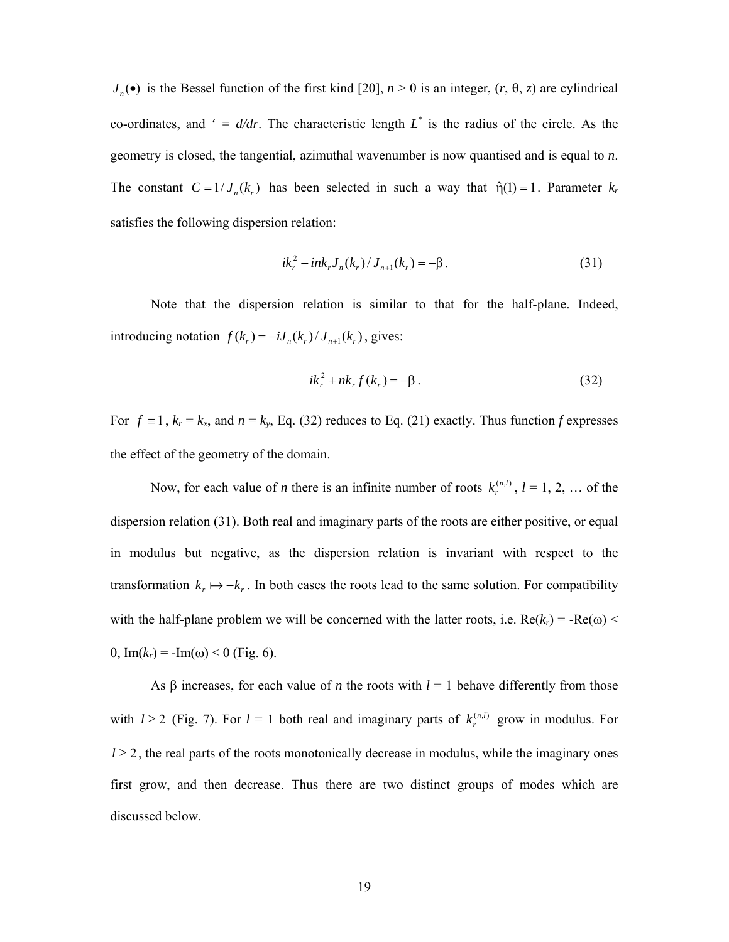$J_n(\bullet)$  is the Bessel function of the first kind [20],  $n > 0$  is an integer,  $(r, \theta, z)$  are cylindrical co-ordinates, and  $\prime = d/dr$ . The characteristic length  $L^*$  is the radius of the circle. As the geometry is closed, the tangential, azimuthal wavenumber is now quantised and is equal to *n*. The constant  $C = 1/J_n(k_r)$  has been selected in such a way that  $\hat{\eta}(1) = 1$ . Parameter  $k_r$ satisfies the following dispersion relation:

$$
ik_r^2 - ink_r J_n(k_r) / J_{n+1}(k_r) = -\beta.
$$
 (31)

 Note that the dispersion relation is similar to that for the half-plane. Indeed, introducing notation  $f(k_r) = -iJ_n(k_r)/J_{n+1}(k_r)$ , gives:

$$
ik_r^2 + nk_r f(k_r) = -\beta.
$$
 (32)

For  $f \equiv 1$ ,  $k_r = k_x$ , and  $n = k_y$ , Eq. (32) reduces to Eq. (21) exactly. Thus function *f* expresses the effect of the geometry of the domain.

Now, for each value of *n* there is an infinite number of roots  $k_r^{(n,l)}$ ,  $l = 1, 2, ...$  of the dispersion relation (31). Both real and imaginary parts of the roots are either positive, or equal in modulus but negative, as the dispersion relation is invariant with respect to the transformation  $k_r \mapsto -k_r$ . In both cases the roots lead to the same solution. For compatibility with the half-plane problem we will be concerned with the latter roots, i.e.  $Re(k_r) = -Re(\omega)$  < 0,  $Im(k_r) = -Im(\omega) < 0$  (Fig. 6).

As  $\beta$  increases, for each value of *n* the roots with  $l = 1$  behave differently from those with  $l \ge 2$  (Fig. 7). For  $l = 1$  both real and imaginary parts of  $k_r^{(n,l)}$  grow in modulus. For  $l \geq 2$ , the real parts of the roots monotonically decrease in modulus, while the imaginary ones first grow, and then decrease. Thus there are two distinct groups of modes which are discussed below.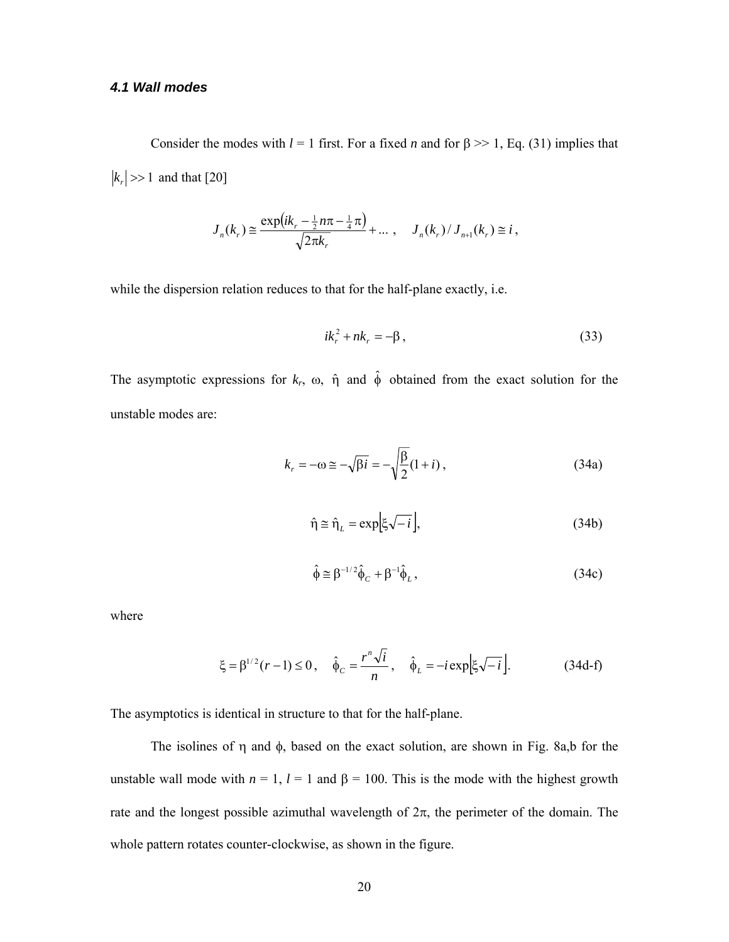#### *4.1 Wall modes*

Consider the modes with  $l = 1$  first. For a fixed *n* and for  $\beta \gg 1$ , Eq. (31) implies that  $|k_r| \gg 1$  and that [20]

$$
J_n(k_r) \cong \frac{\exp(ik_r - \frac{1}{2}n\pi - \frac{1}{4}\pi)}{\sqrt{2\pi k_r}} + \dots , \quad J_n(k_r) / J_{n+1}(k_r) \cong i ,
$$

while the dispersion relation reduces to that for the half-plane exactly, i.e.

$$
ik_r^2 + nk_r = -\beta, \qquad (33)
$$

The asymptotic expressions for  $k_r$ ,  $\omega$ ,  $\hat{\eta}$  and  $\hat{\phi}$  obtained from the exact solution for the unstable modes are:

$$
k_r = -\omega \cong -\sqrt{\beta i} = -\sqrt{\frac{\beta}{2}} (1+i) ,\qquad(34a)
$$

$$
\hat{\eta} \approx \hat{\eta}_L = \exp[\xi \sqrt{-i}], \tag{34b}
$$

$$
\hat{\phi} \cong \beta^{-1/2} \hat{\phi}_C + \beta^{-1} \hat{\phi}_L, \qquad (34c)
$$

where

$$
\xi = \beta^{1/2} (r - 1) \le 0
$$
,  $\hat{\phi}_C = \frac{r^n \sqrt{i}}{n}$ ,  $\hat{\phi}_L = -i \exp[\xi \sqrt{-i}]$ . (34d-f)

The asymptotics is identical in structure to that for the half-plane.

The isolines of  $\eta$  and  $\phi$ , based on the exact solution, are shown in Fig. 8a,b for the unstable wall mode with  $n = 1$ ,  $l = 1$  and  $\beta = 100$ . This is the mode with the highest growth rate and the longest possible azimuthal wavelength of  $2\pi$ , the perimeter of the domain. The whole pattern rotates counter-clockwise, as shown in the figure.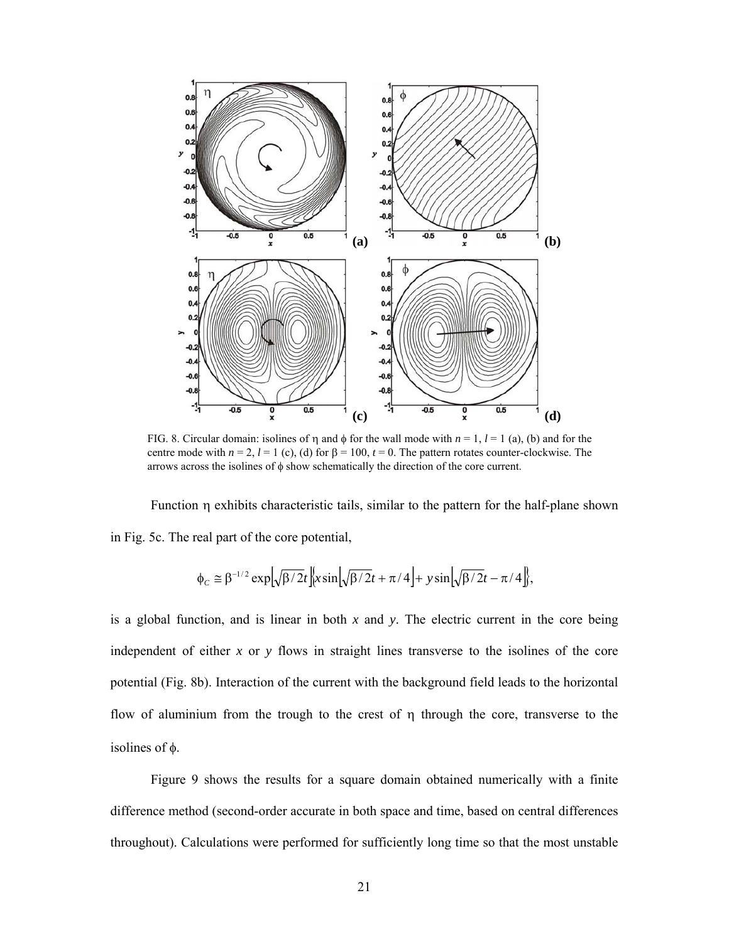

FIG. 8. Circular domain: isolines of  $\eta$  and  $\phi$  for the wall mode with  $n = 1$ ,  $l = 1$  (a), (b) and for the centre mode with  $n = 2$ ,  $l = 1$  (c), (d) for  $\beta = 100$ ,  $t = 0$ . The pattern rotates counter-clockwise. The arrows across the isolines of  $\phi$  show schematically the direction of the core current.

Function  $\eta$  exhibits characteristic tails, similar to the pattern for the half-plane shown in Fig. 5c. The real part of the core potential,

$$
\Phi_C \cong \beta^{-1/2} \exp \Bigl[ \sqrt{\beta/2} t \Bigr] \Big\{ x \sin \Bigl[ \sqrt{\beta/2} t + \pi/4 \Bigr] + y \sin \Bigl[ \sqrt{\beta/2} t - \pi/4 \Bigr] \Big\},
$$

is a global function, and is linear in both *x* and *y*. The electric current in the core being independent of either *x* or *y* flows in straight lines transverse to the isolines of the core potential (Fig. 8b). Interaction of the current with the background field leads to the horizontal flow of aluminium from the trough to the crest of  $\eta$  through the core, transverse to the isolines of  $\phi$ .

 Figure 9 shows the results for a square domain obtained numerically with a finite difference method (second-order accurate in both space and time, based on central differences throughout). Calculations were performed for sufficiently long time so that the most unstable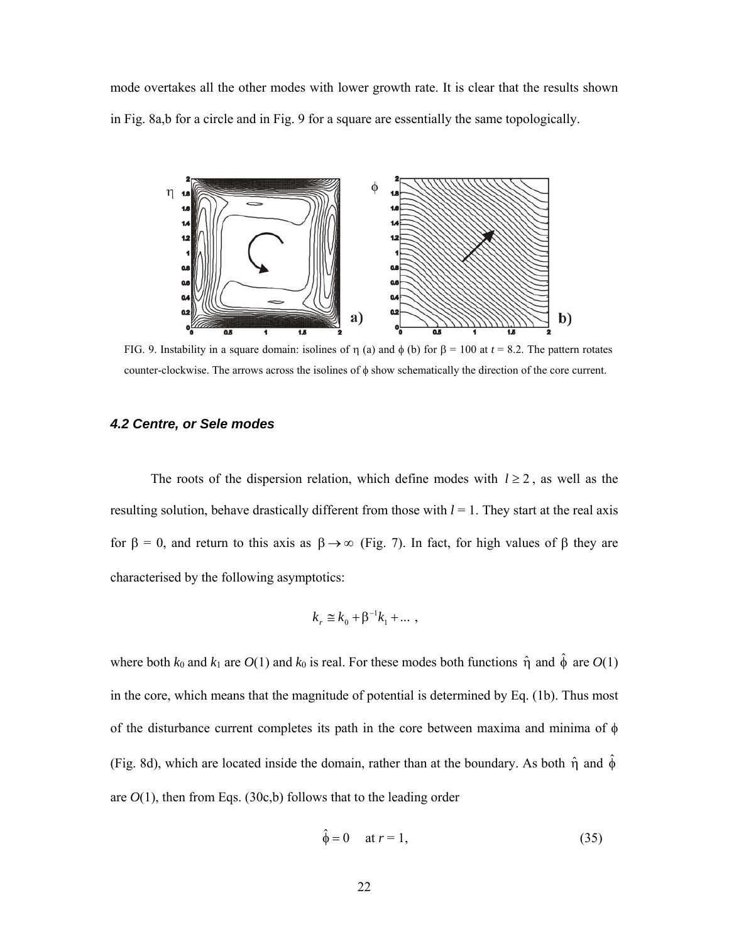mode overtakes all the other modes with lower growth rate. It is clear that the results shown in Fig. 8a,b for a circle and in Fig. 9 for a square are essentially the same topologically.



FIG. 9. Instability in a square domain: isolines of  $\eta$  (a) and  $\phi$  (b) for  $\beta = 100$  at  $t = 8.2$ . The pattern rotates counter-clockwise. The arrows across the isolines of  $\phi$  show schematically the direction of the core current.

#### *4.2 Centre, or Sele modes*

The roots of the dispersion relation, which define modes with  $l \ge 2$ , as well as the resulting solution, behave drastically different from those with  $l = 1$ . They start at the real axis for  $\beta = 0$ , and return to this axis as  $\beta \rightarrow \infty$  (Fig. 7). In fact, for high values of  $\beta$  they are characterised by the following asymptotics:

$$
k_r \cong k_0 + \beta^{-1}k_1 + \dots,
$$

where both  $k_0$  and  $k_1$  are  $O(1)$  and  $k_0$  is real. For these modes both functions  $\hat{\eta}$  and  $\hat{\phi}$  are  $O(1)$ in the core, which means that the magnitude of potential is determined by Eq. (1b). Thus most of the disturbance current completes its path in the core between maxima and minima of  $\phi$ (Fig. 8d), which are located inside the domain, rather than at the boundary. As both  $\hat{\eta}$  and  $\hat{\phi}$ are  $O(1)$ , then from Eqs. (30c,b) follows that to the leading order

$$
\hat{\phi} = 0 \quad \text{at } r = 1,\tag{35}
$$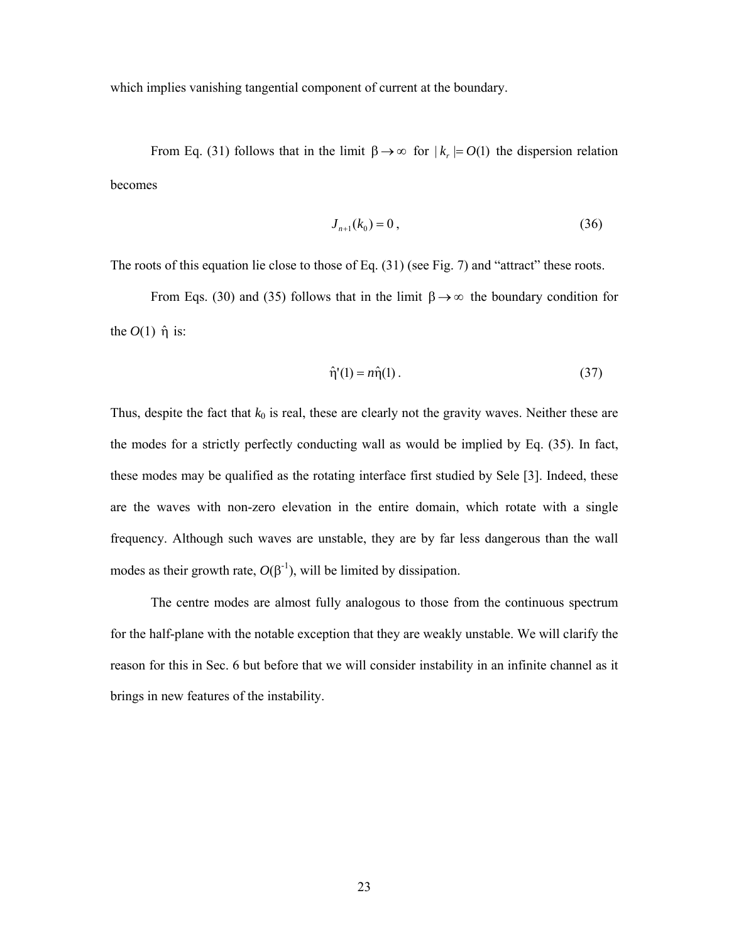which implies vanishing tangential component of current at the boundary.

From Eq. (31) follows that in the limit  $\beta \rightarrow \infty$  for  $|k| = O(1)$  the dispersion relation becomes

$$
J_{n+1}(k_0) = 0, \t\t(36)
$$

The roots of this equation lie close to those of Eq. (31) (see Fig. 7) and "attract" these roots.

From Eqs. (30) and (35) follows that in the limit  $\beta \rightarrow \infty$  the boundary condition for the  $O(1)$   $\hat{\eta}$  is:

$$
\hat{\eta}'(1) = n\hat{\eta}(1) \tag{37}
$$

Thus, despite the fact that  $k_0$  is real, these are clearly not the gravity waves. Neither these are the modes for a strictly perfectly conducting wall as would be implied by Eq. (35). In fact, these modes may be qualified as the rotating interface first studied by Sele [3]. Indeed, these are the waves with non-zero elevation in the entire domain, which rotate with a single frequency. Although such waves are unstable, they are by far less dangerous than the wall modes as their growth rate,  $O(\beta^{-1})$ , will be limited by dissipation.

 The centre modes are almost fully analogous to those from the continuous spectrum for the half-plane with the notable exception that they are weakly unstable. We will clarify the reason for this in Sec. 6 but before that we will consider instability in an infinite channel as it brings in new features of the instability.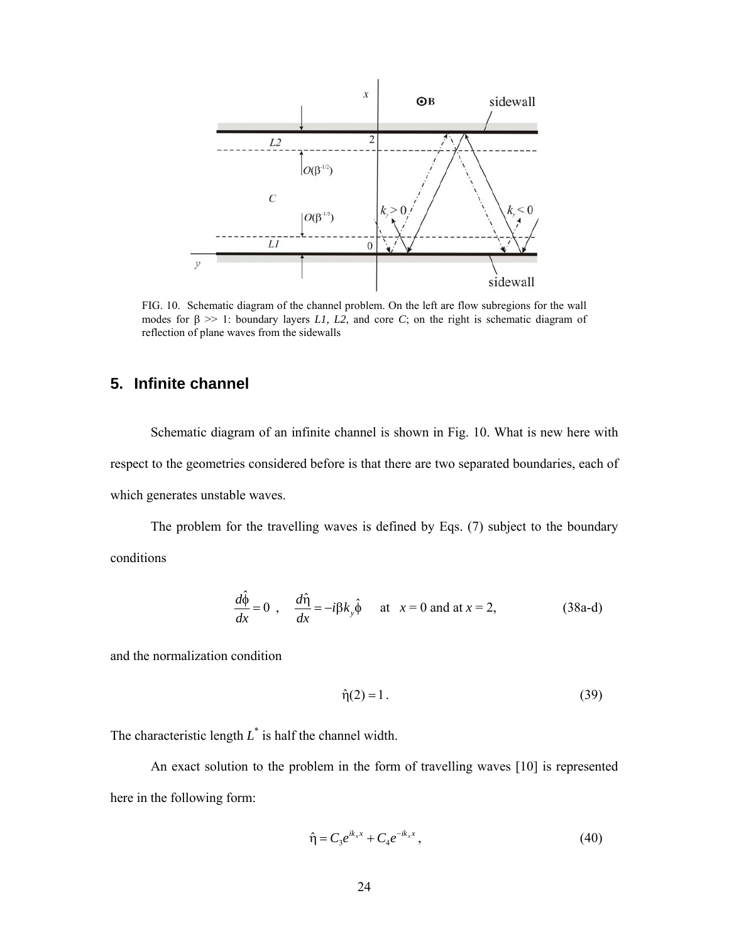

FIG. 10. Schematic diagram of the channel problem. On the left are flow subregions for the wall modes for  $\beta \gg 1$ : boundary layers *L1*, *L2*, and core *C*; on the right is schematic diagram of reflection of plane waves from the sidewalls

# **5. Infinite channel**

 Schematic diagram of an infinite channel is shown in Fig. 10. What is new here with respect to the geometries considered before is that there are two separated boundaries, each of which generates unstable waves.

The problem for the travelling waves is defined by Eqs. (7) subject to the boundary conditions

$$
\frac{d\hat{\phi}}{dx} = 0 \quad , \quad \frac{d\hat{\eta}}{dx} = -i\beta k_y \hat{\phi} \quad \text{at} \quad x = 0 \text{ and at } x = 2, \tag{38a-d}
$$

and the normalization condition

$$
\hat{\eta}(2) = 1. \tag{39}
$$

The characteristic length  $L^*$  is half the channel width.

 An exact solution to the problem in the form of travelling waves [10] is represented here in the following form:

$$
\hat{\eta} = C_3 e^{ik_x x} + C_4 e^{-ik_x x}, \qquad (40)
$$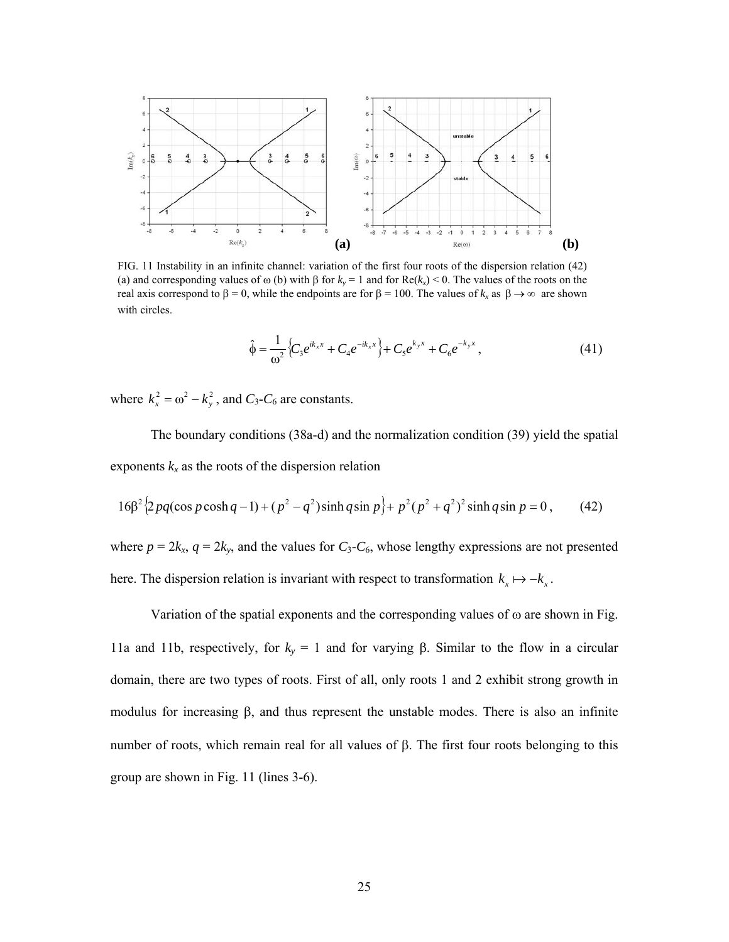

FIG. 11 Instability in an infinite channel: variation of the first four roots of the dispersion relation (42) (a) and corresponding values of  $\omega$  (b) with  $\beta$  for  $k_y = 1$  and for  $\text{Re}(k_x) < 0$ . The values of the roots on the real axis correspond to  $\beta = 0$ , while the endpoints are for  $\beta = 100$ . The values of  $k_x$  as  $\beta \rightarrow \infty$  are shown with circles.

$$
\hat{\phi} = \frac{1}{\omega^2} \left\{ C_3 e^{ik_x x} + C_4 e^{-ik_x x} \right\} + C_5 e^{k_y x} + C_6 e^{-k_y x}, \tag{41}
$$

where  $k_x^2 = \omega^2 - k_y^2$ , and  $C_3$ - $C_6$  are constants.

The boundary conditions (38a-d) and the normalization condition (39) yield the spatial exponents  $k_x$  as the roots of the dispersion relation

$$
16\beta^2 \left\{ 2pq(\cos p \cosh q - 1) + (p^2 - q^2)\sinh q \sin p \right\} + p^2(p^2 + q^2)^2 \sinh q \sin p = 0, \qquad (42)
$$

where  $p = 2k_x$ ,  $q = 2k_y$ , and the values for  $C_3$ - $C_6$ , whose lengthy expressions are not presented here. The dispersion relation is invariant with respect to transformation  $k_x \mapsto -k_x$ .

Variation of the spatial exponents and the corresponding values of  $\omega$  are shown in Fig. 11a and 11b, respectively, for  $k_y = 1$  and for varying  $\beta$ . Similar to the flow in a circular domain, there are two types of roots. First of all, only roots 1 and 2 exhibit strong growth in modulus for increasing  $\beta$ , and thus represent the unstable modes. There is also an infinite number of roots, which remain real for all values of  $\beta$ . The first four roots belonging to this group are shown in Fig. 11 (lines 3-6).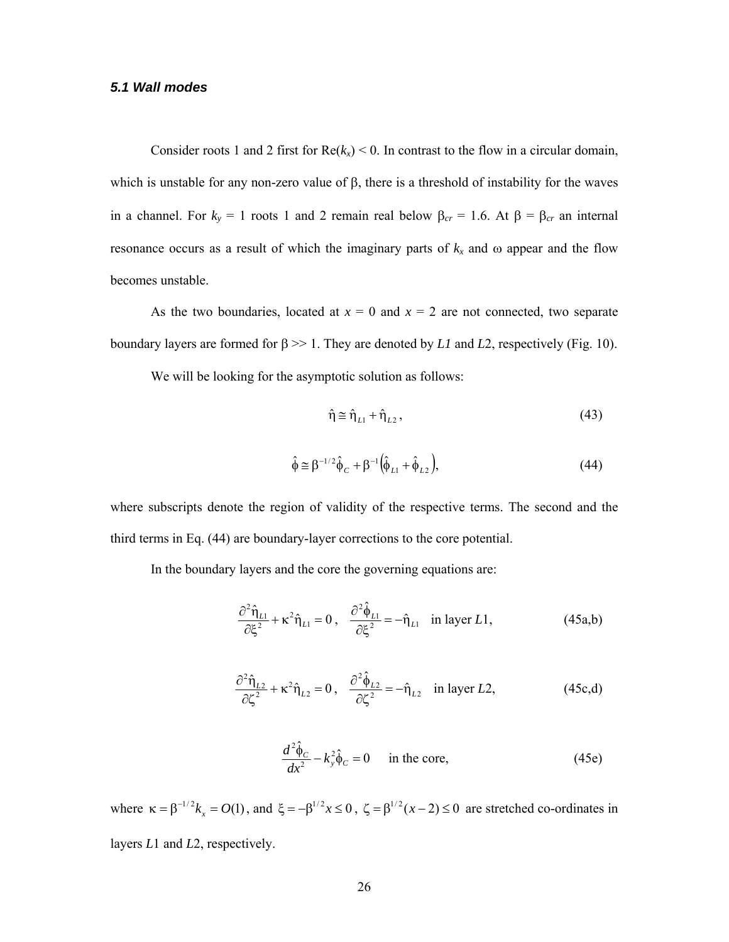#### *5.1 Wall modes*

Consider roots 1 and 2 first for  $Re(k_x) < 0$ . In contrast to the flow in a circular domain, which is unstable for any non-zero value of  $\beta$ , there is a threshold of instability for the waves in a channel. For  $k_y = 1$  roots 1 and 2 remain real below  $\beta_{cr} = 1.6$ . At  $\beta = \beta_{cr}$  an internal resonance occurs as a result of which the imaginary parts of  $k_x$  and  $\omega$  appear and the flow becomes unstable.

As the two boundaries, located at  $x = 0$  and  $x = 2$  are not connected, two separate boundary layers are formed for  $\beta \gg 1$ . They are denoted by *L1* and *L2*, respectively (Fig. 10).

We will be looking for the asymptotic solution as follows:

$$
\hat{\eta} \cong \hat{\eta}_{L1} + \hat{\eta}_{L2},\tag{43}
$$

$$
\hat{\phi} \approx \beta^{-1/2} \hat{\phi}_C + \beta^{-1} \left( \hat{\phi}_{L1} + \hat{\phi}_{L2} \right),\tag{44}
$$

where subscripts denote the region of validity of the respective terms. The second and the third terms in Eq. (44) are boundary-layer corrections to the core potential.

In the boundary layers and the core the governing equations are:

$$
\frac{\partial^2 \hat{\eta}_{L1}}{\partial \xi^2} + \kappa^2 \hat{\eta}_{L1} = 0 \,, \quad \frac{\partial^2 \hat{\phi}_{L1}}{\partial \xi^2} = -\hat{\eta}_{L1} \quad \text{in layer } L1, \tag{45a,b}
$$

$$
\frac{\partial^2 \hat{\eta}_{L2}}{\partial \zeta^2} + \kappa^2 \hat{\eta}_{L2} = 0, \quad \frac{\partial^2 \hat{\phi}_{L2}}{\partial \zeta^2} = -\hat{\eta}_{L2} \quad \text{in layer } L2,
$$
 (45c,d)

$$
\frac{d^2\hat{\phi}_C}{dx^2} - k_y^2 \hat{\phi}_C = 0 \quad \text{in the core}, \tag{45e}
$$

where  $\kappa = \beta^{-1/2} k_x = O(1)$ , and  $\xi = -\beta^{1/2} x \le 0$ ,  $\zeta = \beta^{1/2} (x - 2) \le 0$  are stretched co-ordinates in layers *L*1 and *L*2, respectively.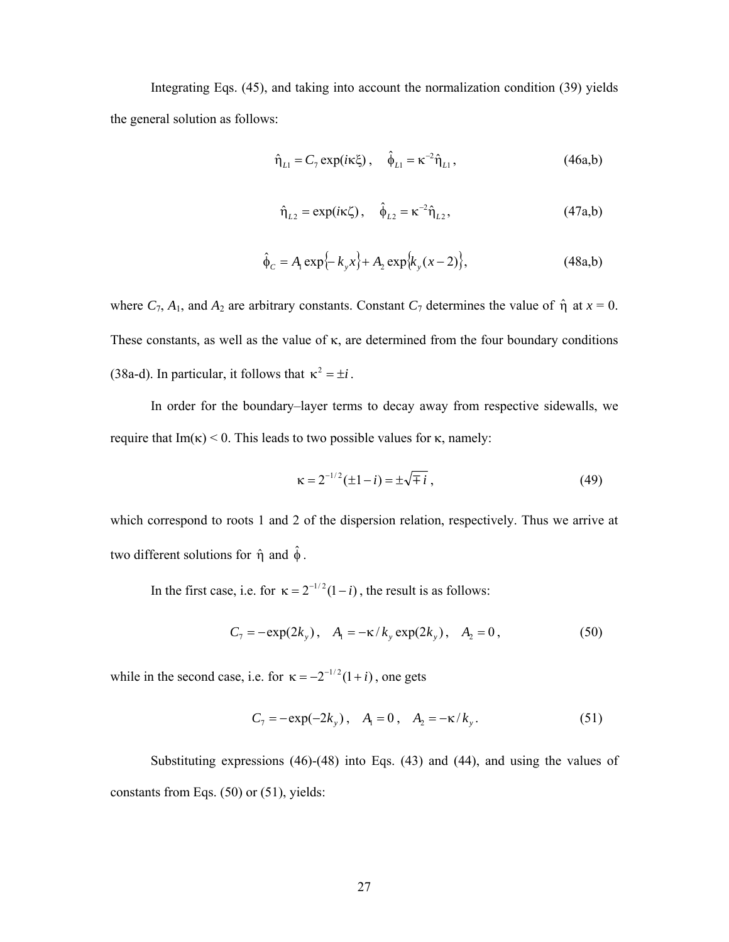Integrating Eqs. (45), and taking into account the normalization condition (39) yields the general solution as follows:

$$
\hat{\eta}_{L1} = C_7 \exp(i\kappa \xi), \quad \hat{\phi}_{L1} = \kappa^{-2} \hat{\eta}_{L1}, \tag{46a,b}
$$

$$
\hat{\eta}_{L2} = \exp(i\kappa \zeta), \quad \hat{\phi}_{L2} = \kappa^{-2} \hat{\eta}_{L2}, \tag{47a,b}
$$

$$
\hat{\phi}_C = A_1 \exp\{-k_y x\} + A_2 \exp\{k_y (x-2)\},\tag{48a,b}
$$

where  $C_7$ ,  $A_1$ , and  $A_2$  are arbitrary constants. Constant  $C_7$  determines the value of  $\hat{\eta}$  at  $x = 0$ . These constants, as well as the value of  $\kappa$ , are determined from the four boundary conditions (38a-d). In particular, it follows that  $\kappa^2 = \pm i$ .

In order for the boundary–layer terms to decay away from respective sidewalls, we require that  $Im(\kappa) < 0$ . This leads to two possible values for  $\kappa$ , namely:

$$
\kappa = 2^{-1/2} (\pm 1 - i) = \pm \sqrt{\mp i} , \qquad (49)
$$

which correspond to roots 1 and 2 of the dispersion relation, respectively. Thus we arrive at two different solutions for  $\hat{\eta}$  and  $\hat{\phi}$ .

In the first case, i.e. for  $\kappa = 2^{-1/2} (1 - i)$ , the result is as follows:

$$
C_7 = -\exp(2k_y), \quad A_1 = -\kappa / k_y \exp(2k_y), \quad A_2 = 0,
$$
 (50)

while in the second case, i.e. for  $\kappa = -2^{-1/2} (1 + i)$ , one gets

$$
C_7 = -\exp(-2k_y), \quad A_1 = 0, \quad A_2 = -\kappa/k_y. \tag{51}
$$

Substituting expressions (46)-(48) into Eqs. (43) and (44), and using the values of constants from Eqs. (50) or (51), yields: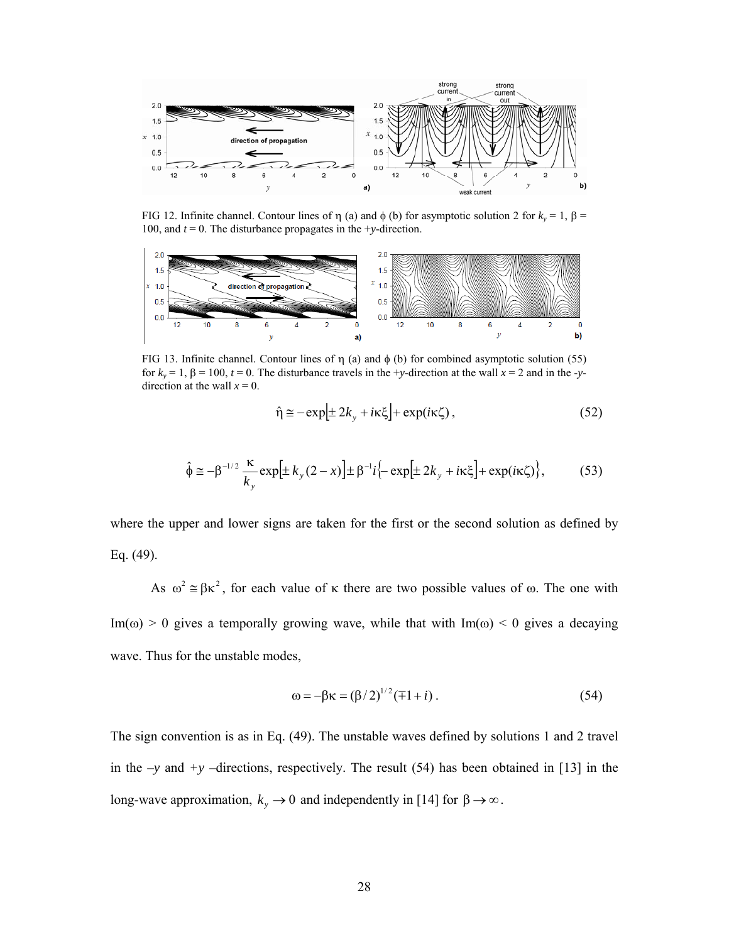

FIG 12. Infinite channel. Contour lines of  $\eta$  (a) and  $\phi$  (b) for asymptotic solution 2 for  $k_y = 1$ ,  $\beta =$  100 and  $t = 0$ . The disturbance propagates in the +v-direction 100, and *t* = 0. The disturbance propagates in the +*y*-direction.



FIG 13. Infinite channel. Contour lines of  $\eta$  (a) and  $\phi$  (b) for combined asymptotic solution (55) for  $k_y = 1$ ,  $\beta = 100$ ,  $t = 0$ . The disturbance travels in the +*y*-direction at the wall  $x = 2$  and in the -*y*direction at the wall  $x = 0$ .

$$
\hat{\eta} \approx -\exp[\pm 2k_y + i\kappa \xi] + \exp(i\kappa \zeta) ,\qquad(52)
$$

$$
\hat{\phi} \approx -\beta^{-1/2} \frac{\kappa}{k_y} \exp\left[\pm k_y (2 - x)\right] \pm \beta^{-1} i \left\{-\exp\left[\pm 2k_y + i\kappa \xi\right] + \exp(i\kappa \zeta)\right\},\tag{53}
$$

where the upper and lower signs are taken for the first or the second solution as defined by Eq. (49).

As  $\omega^2 \approx \beta \kappa^2$ , for each value of  $\kappa$  there are two possible values of  $\omega$ . The one with Im( $\omega$ ) > 0 gives a temporally growing wave, while that with Im( $\omega$ ) < 0 gives a decaying wave. Thus for the unstable modes,

$$
\omega = -\beta \kappa = (\beta/2)^{1/2} (\mp 1 + i) \,. \tag{54}
$$

The sign convention is as in Eq. (49). The unstable waves defined by solutions 1 and 2 travel in the *–y* and *+y –*directions, respectively. The result (54) has been obtained in [13] in the long-wave approximation,  $k_y \to 0$  and independently in [14] for  $\beta \to \infty$ .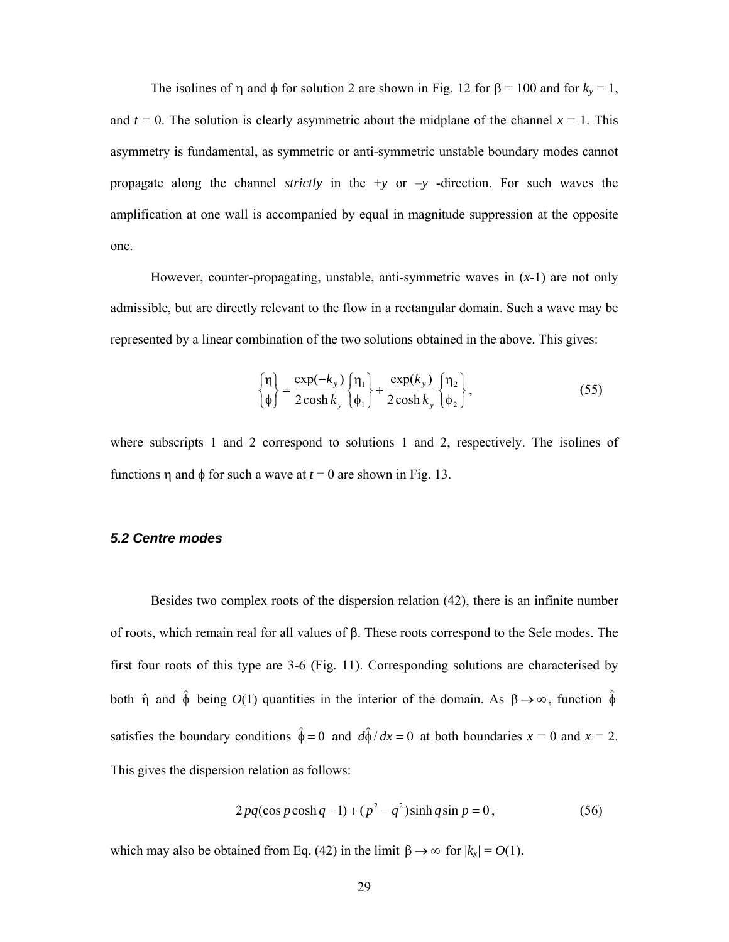The isolines of  $\eta$  and  $\phi$  for solution 2 are shown in Fig. 12 for  $\beta = 100$  and for  $k_y = 1$ , and  $t = 0$ . The solution is clearly asymmetric about the midplane of the channel  $x = 1$ . This asymmetry is fundamental, as symmetric or anti-symmetric unstable boundary modes cannot propagate along the channel *strictly* in the +*y* or –*y* -direction. For such waves the amplification at one wall is accompanied by equal in magnitude suppression at the opposite one.

However, counter-propagating, unstable, anti-symmetric waves in (*x*-1) are not only admissible, but are directly relevant to the flow in a rectangular domain. Such a wave may be represented by a linear combination of the two solutions obtained in the above. This gives:

$$
\begin{cases} \eta \\ \phi \end{cases} = \frac{\exp(-k_y)}{2\cosh k_y} \begin{cases} \eta_1 \\ \phi_1 \end{cases} + \frac{\exp(k_y)}{2\cosh k_y} \begin{cases} \eta_2 \\ \phi_2 \end{cases}, \tag{55}
$$

where subscripts 1 and 2 correspond to solutions 1 and 2, respectively. The isolines of functions  $\eta$  and  $\phi$  for such a wave at  $t = 0$  are shown in Fig. 13.

#### *5.2 Centre modes*

Besides two complex roots of the dispersion relation (42), there is an infinite number of roots, which remain real for all values of  $\beta$ . These roots correspond to the Sele modes. The first four roots of this type are 3-6 (Fig. 11). Corresponding solutions are characterised by both  $\hat{\eta}$  and  $\hat{\phi}$  being  $O(1)$  quantities in the interior of the domain. As  $\beta \rightarrow \infty$ , function  $\hat{\phi}$ satisfies the boundary conditions  $\hat{\phi} = 0$  and  $d\hat{\phi}/dx = 0$  at both boundaries  $x = 0$  and  $x = 2$ . This gives the dispersion relation as follows:

$$
2pq(\cos p \cosh q - 1) + (p^2 - q^2)\sinh q \sin p = 0, \qquad (56)
$$

which may also be obtained from Eq. (42) in the limit  $\beta \rightarrow \infty$  for  $|k_x| = O(1)$ .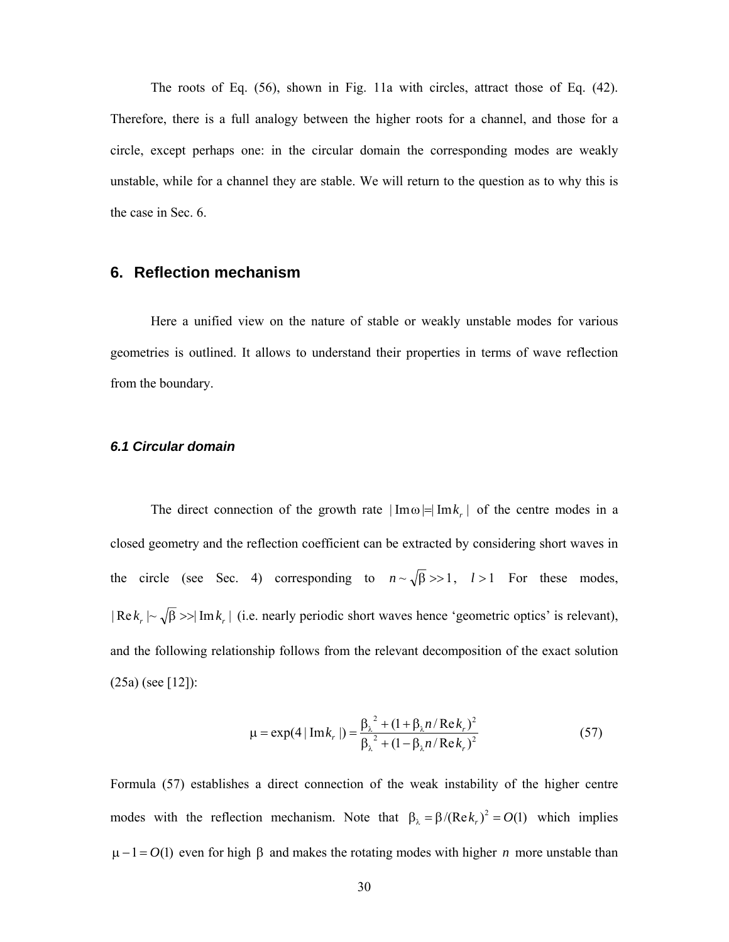The roots of Eq. (56), shown in Fig. 11a with circles, attract those of Eq. (42). Therefore, there is a full analogy between the higher roots for a channel, and those for a circle, except perhaps one: in the circular domain the corresponding modes are weakly unstable, while for a channel they are stable. We will return to the question as to why this is the case in Sec. 6.

# **6. Reflection mechanism**

Here a unified view on the nature of stable or weakly unstable modes for various geometries is outlined. It allows to understand their properties in terms of wave reflection from the boundary.

#### *6.1 Circular domain*

The direct connection of the growth rate  $|\text{Im}\omega| = |\text{Im}k_{r}|$  of the centre modes in a closed geometry and the reflection coefficient can be extracted by considering short waves in the circle (see Sec. 4) corresponding to  $n \sim \sqrt{\beta} >> 1$ ,  $l > 1$  For these modes,  $| \text{Re } k_r | \sim \sqrt{\beta} \gg | \text{Im } k_r |$  (i.e. nearly periodic short waves hence 'geometric optics' is relevant), and the following relationship follows from the relevant decomposition of the exact solution (25a) (see [12]):

$$
\mu = \exp(4 | \operatorname{Im} k_r | ) = \frac{\beta_{\lambda}^2 + (1 + \beta_{\lambda} n / \operatorname{Re} k_r)^2}{\beta_{\lambda}^2 + (1 - \beta_{\lambda} n / \operatorname{Re} k_r)^2}
$$
(57)

Formula (57) establishes a direct connection of the weak instability of the higher centre modes with the reflection mechanism. Note that  $\beta_{\lambda} = \beta/(Re k_r)^2 = O(1)$  which implies  $\mu - 1 = O(1)$  even for high  $\beta$  and makes the rotating modes with higher *n* more unstable than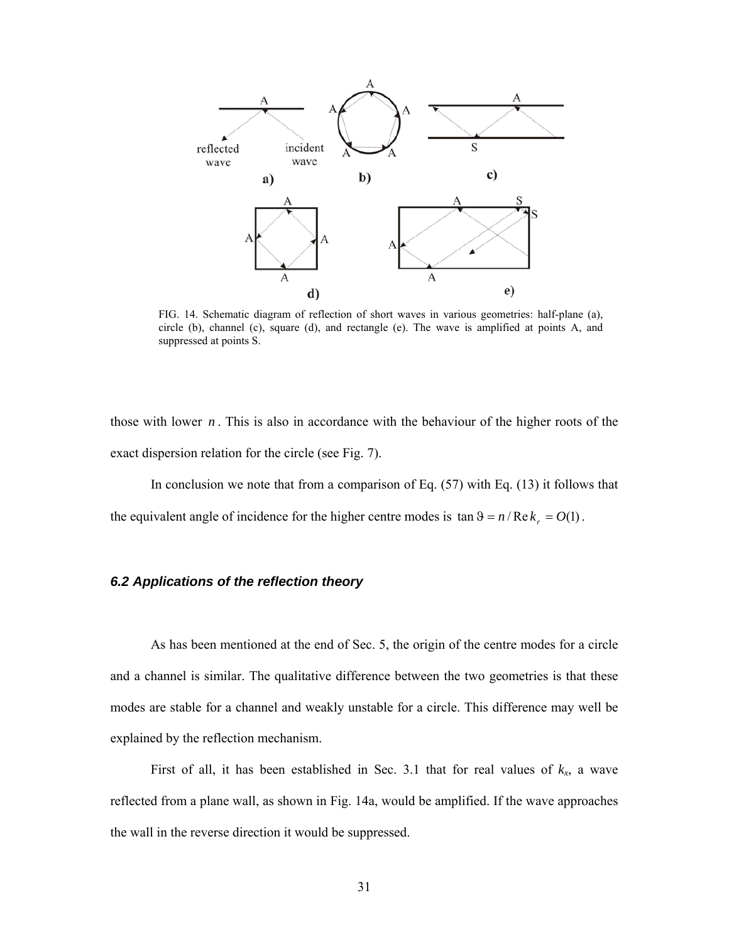

FIG. 14. Schematic diagram of reflection of short waves in various geometries: half-plane (a), circle (b), channel (c), square (d), and rectangle (e). The wave is amplified at points A, and suppressed at points S.

those with lower  $n$ . This is also in accordance with the behaviour of the higher roots of the exact dispersion relation for the circle (see Fig. 7).

 In conclusion we note that from a comparison of Eq. (57) with Eq. (13) it follows that the equivalent angle of incidence for the higher centre modes is  $\tan \theta = n / Re k_r = O(1)$ .

#### *6.2 Applications of the reflection theory*

As has been mentioned at the end of Sec. 5, the origin of the centre modes for a circle and a channel is similar. The qualitative difference between the two geometries is that these modes are stable for a channel and weakly unstable for a circle. This difference may well be explained by the reflection mechanism.

First of all, it has been established in Sec. 3.1 that for real values of  $k_x$ , a wave reflected from a plane wall, as shown in Fig. 14a, would be amplified. If the wave approaches the wall in the reverse direction it would be suppressed.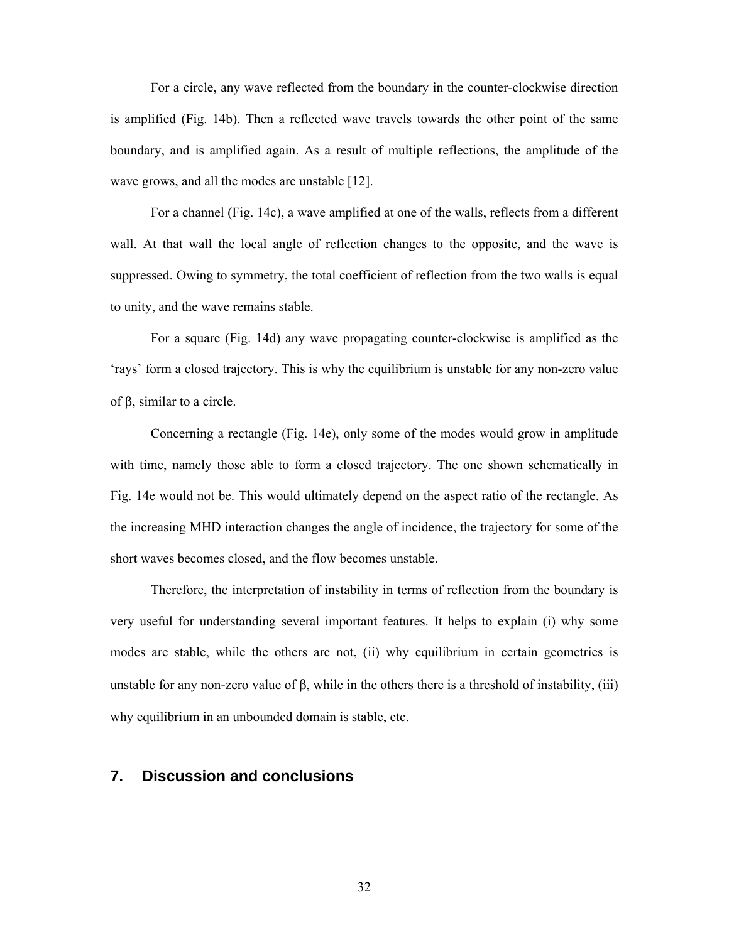For a circle, any wave reflected from the boundary in the counter-clockwise direction is amplified (Fig. 14b). Then a reflected wave travels towards the other point of the same boundary, and is amplified again. As a result of multiple reflections, the amplitude of the wave grows, and all the modes are unstable [12].

For a channel (Fig. 14c), a wave amplified at one of the walls, reflects from a different wall. At that wall the local angle of reflection changes to the opposite, and the wave is suppressed. Owing to symmetry, the total coefficient of reflection from the two walls is equal to unity, and the wave remains stable.

For a square (Fig. 14d) any wave propagating counter-clockwise is amplified as the 'rays' form a closed trajectory. This is why the equilibrium is unstable for any non-zero value of  $\beta$ , similar to a circle.

 Concerning a rectangle (Fig. 14e), only some of the modes would grow in amplitude with time, namely those able to form a closed trajectory. The one shown schematically in Fig. 14e would not be. This would ultimately depend on the aspect ratio of the rectangle. As the increasing MHD interaction changes the angle of incidence, the trajectory for some of the short waves becomes closed, and the flow becomes unstable.

Therefore, the interpretation of instability in terms of reflection from the boundary is very useful for understanding several important features. It helps to explain (i) why some modes are stable, while the others are not, (ii) why equilibrium in certain geometries is unstable for any non-zero value of  $\beta$ , while in the others there is a threshold of instability, (iii) why equilibrium in an unbounded domain is stable, etc.

#### **7. Discussion and conclusions**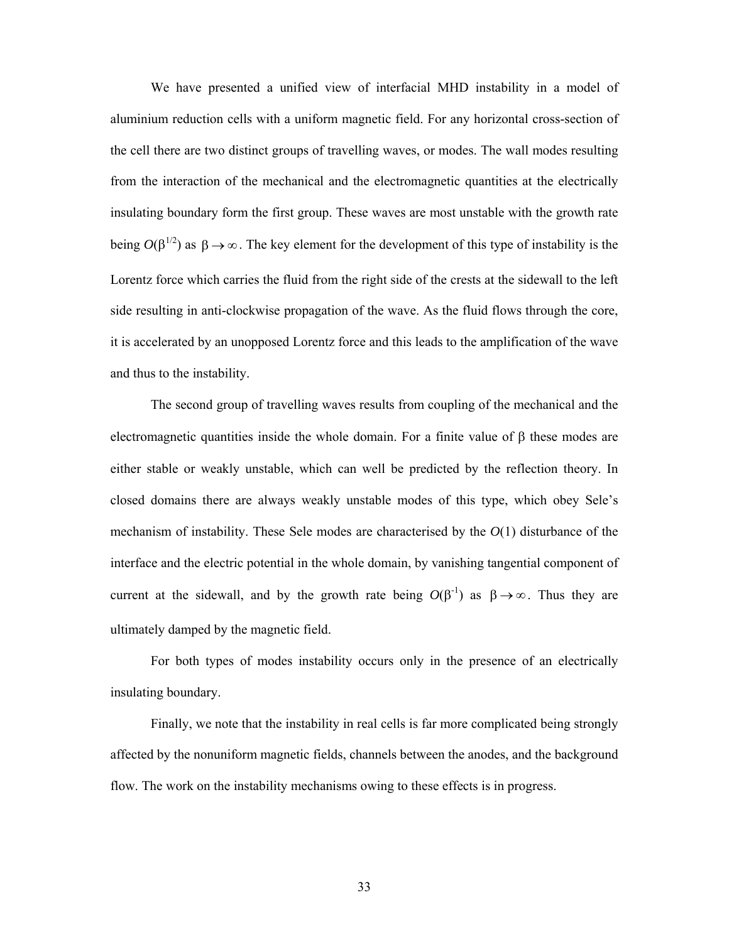We have presented a unified view of interfacial MHD instability in a model of aluminium reduction cells with a uniform magnetic field. For any horizontal cross-section of the cell there are two distinct groups of travelling waves, or modes. The wall modes resulting from the interaction of the mechanical and the electromagnetic quantities at the electrically insulating boundary form the first group. These waves are most unstable with the growth rate being  $O(\beta^{1/2})$  as  $\beta \rightarrow \infty$ . The key element for the development of this type of instability is the Lorentz force which carries the fluid from the right side of the crests at the sidewall to the left side resulting in anti-clockwise propagation of the wave. As the fluid flows through the core, it is accelerated by an unopposed Lorentz force and this leads to the amplification of the wave and thus to the instability.

 The second group of travelling waves results from coupling of the mechanical and the electromagnetic quantities inside the whole domain. For a finite value of  $\beta$  these modes are either stable or weakly unstable, which can well be predicted by the reflection theory. In closed domains there are always weakly unstable modes of this type, which obey Sele's mechanism of instability. These Sele modes are characterised by the *O*(1) disturbance of the interface and the electric potential in the whole domain, by vanishing tangential component of current at the sidewall, and by the growth rate being  $O(\beta^{-1})$  as  $\beta \rightarrow \infty$ . Thus they are ultimately damped by the magnetic field.

 For both types of modes instability occurs only in the presence of an electrically insulating boundary.

 Finally, we note that the instability in real cells is far more complicated being strongly affected by the nonuniform magnetic fields, channels between the anodes, and the background flow. The work on the instability mechanisms owing to these effects is in progress.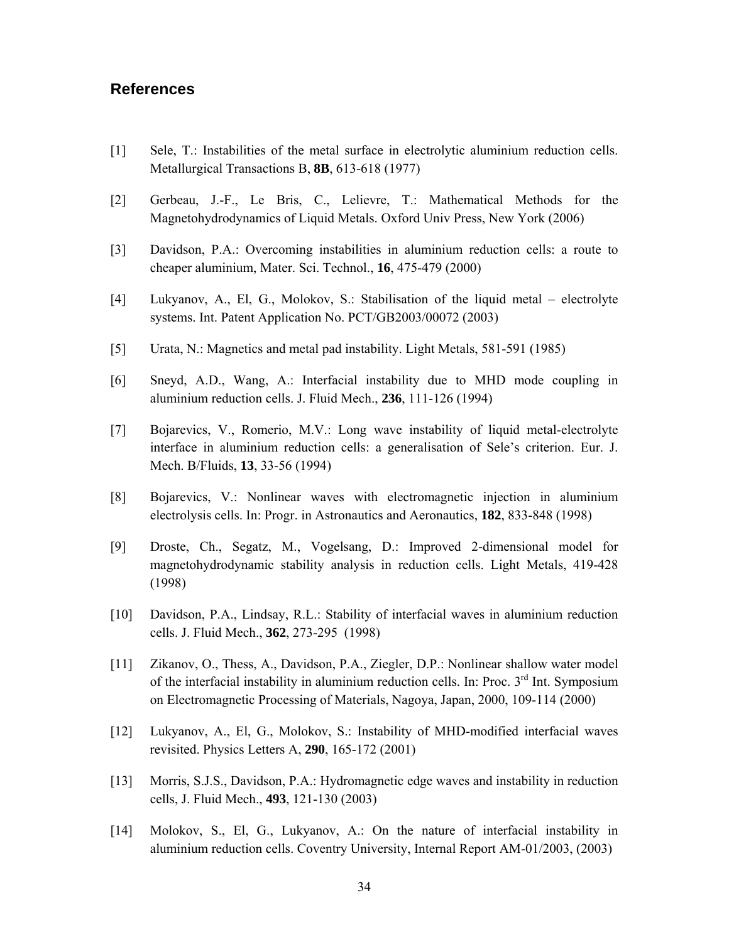### **References**

- [1] Sele, T.: Instabilities of the metal surface in electrolytic aluminium reduction cells. Metallurgical Transactions B, **8B**, 613-618 (1977)
- [2] Gerbeau, J.-F., Le Bris, C., Lelievre, T.: Mathematical Methods for the Magnetohydrodynamics of Liquid Metals. Oxford Univ Press, New York (2006)
- [3] Davidson, P.A.: Overcoming instabilities in aluminium reduction cells: a route to cheaper aluminium, Mater. Sci. Technol., **16**, 475-479 (2000)
- [4] Lukyanov, A., El, G., Molokov, S.: Stabilisation of the liquid metal electrolyte systems. Int. Patent Application No. PCT/GB2003/00072 (2003)
- [5] Urata, N.: Magnetics and metal pad instability. Light Metals, 581-591 (1985)
- [6] Sneyd, A.D., Wang, A.: Interfacial instability due to MHD mode coupling in aluminium reduction cells. J. Fluid Mech., **236**, 111-126 (1994)
- [7] Bojarevics, V., Romerio, M.V.: Long wave instability of liquid metal-electrolyte interface in aluminium reduction cells: a generalisation of Sele's criterion. Eur. J. Mech. B/Fluids, **13**, 33-56 (1994)
- [8] Bojarevics, V.: Nonlinear waves with electromagnetic injection in aluminium electrolysis cells. In: Progr. in Astronautics and Aeronautics, **182**, 833-848 (1998)
- [9] Droste, Ch., Segatz, M., Vogelsang, D.: Improved 2-dimensional model for magnetohydrodynamic stability analysis in reduction cells. Light Metals, 419-428 (1998)
- [10] Davidson, P.A., Lindsay, R.L.: Stability of interfacial waves in aluminium reduction cells. J. Fluid Mech., **362**, 273-295 (1998)
- [11] Zikanov, O., Thess, A., Davidson, P.A., Ziegler, D.P.: Nonlinear shallow water model of the interfacial instability in aluminium reduction cells. In: Proc. 3<sup>rd</sup> Int. Symposium on Electromagnetic Processing of Materials, Nagoya, Japan, 2000, 109-114 (2000)
- [12] Lukyanov, A., El, G., Molokov, S.: Instability of MHD-modified interfacial waves revisited. Physics Letters A, **290**, 165-172 (2001)
- [13] Morris, S.J.S., Davidson, P.A.: Hydromagnetic edge waves and instability in reduction cells, J. Fluid Mech., **493**, 121-130 (2003)
- [14] Molokov, S., El, G., Lukyanov, A.: On the nature of interfacial instability in aluminium reduction cells. Coventry University, Internal Report AM-01/2003, (2003)